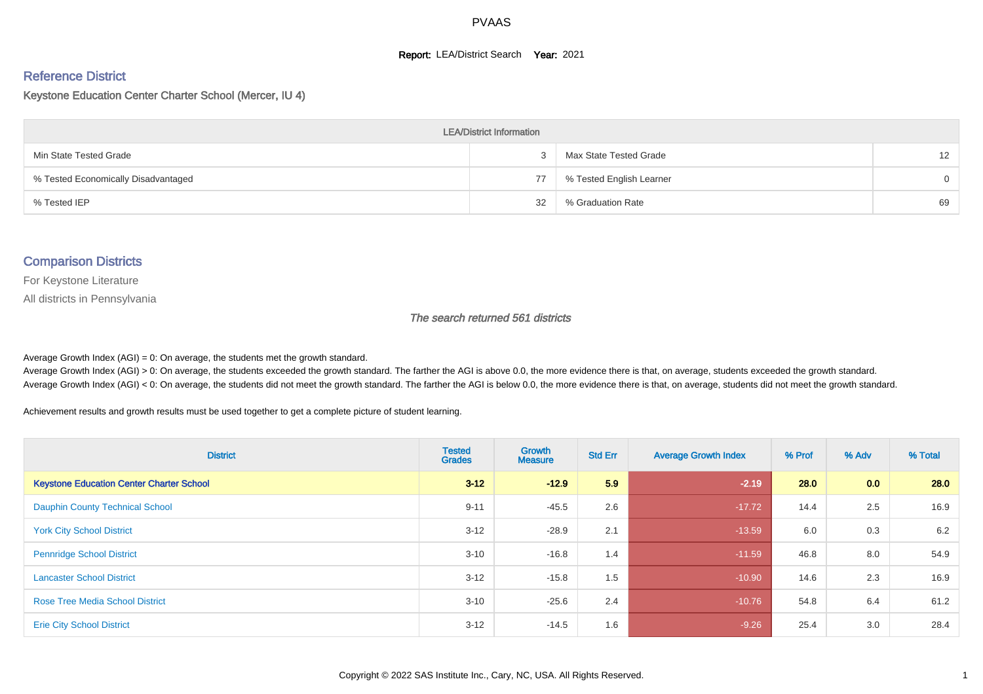#### **Report: LEA/District Search Year: 2021**

# Reference District

#### Keystone Education Center Charter School (Mercer, IU 4)

| <b>LEA/District Information</b>     |    |                          |                 |  |  |  |  |  |  |  |
|-------------------------------------|----|--------------------------|-----------------|--|--|--|--|--|--|--|
| Min State Tested Grade              |    | Max State Tested Grade   | 12 <sup>2</sup> |  |  |  |  |  |  |  |
| % Tested Economically Disadvantaged | 77 | % Tested English Learner | $\Omega$        |  |  |  |  |  |  |  |
| % Tested IEP                        | 32 | % Graduation Rate        | 69              |  |  |  |  |  |  |  |

#### Comparison Districts

For Keystone Literature

All districts in Pennsylvania

The search returned 561 districts

Average Growth Index  $(AGI) = 0$ : On average, the students met the growth standard.

Average Growth Index (AGI) > 0: On average, the students exceeded the growth standard. The farther the AGI is above 0.0, the more evidence there is that, on average, students exceeded the growth standard. Average Growth Index (AGI) < 0: On average, the students did not meet the growth standard. The farther the AGI is below 0.0, the more evidence there is that, on average, students did not meet the growth standard.

Achievement results and growth results must be used together to get a complete picture of student learning.

| <b>District</b>                                 | <b>Tested</b><br><b>Grades</b> | <b>Growth</b><br><b>Measure</b> | <b>Std Err</b> | <b>Average Growth Index</b> | % Prof | % Adv | % Total |
|-------------------------------------------------|--------------------------------|---------------------------------|----------------|-----------------------------|--------|-------|---------|
| <b>Keystone Education Center Charter School</b> | $3 - 12$                       | $-12.9$                         | 5.9            | $-2.19$                     | 28.0   | 0.0   | 28.0    |
| <b>Dauphin County Technical School</b>          | $9 - 11$                       | $-45.5$                         | 2.6            | $-17.72$                    | 14.4   | 2.5   | 16.9    |
| <b>York City School District</b>                | $3 - 12$                       | $-28.9$                         | 2.1            | $-13.59$                    | 6.0    | 0.3   | 6.2     |
| <b>Pennridge School District</b>                | $3 - 10$                       | $-16.8$                         | 1.4            | $-11.59$                    | 46.8   | 8.0   | 54.9    |
| <b>Lancaster School District</b>                | $3 - 12$                       | $-15.8$                         | 1.5            | $-10.90$                    | 14.6   | 2.3   | 16.9    |
| <b>Rose Tree Media School District</b>          | $3 - 10$                       | $-25.6$                         | 2.4            | $-10.76$                    | 54.8   | 6.4   | 61.2    |
| <b>Erie City School District</b>                | $3 - 12$                       | $-14.5$                         | 1.6            | $-9.26$                     | 25.4   | 3.0   | 28.4    |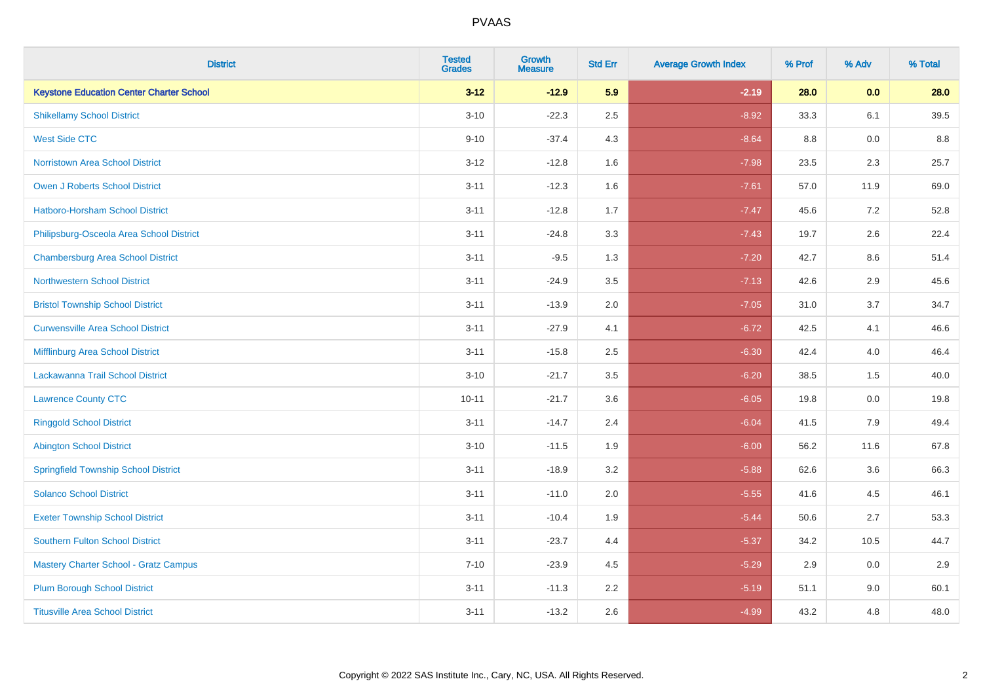| <b>District</b>                                 | <b>Tested</b><br><b>Grades</b> | <b>Growth</b><br><b>Measure</b> | <b>Std Err</b> | <b>Average Growth Index</b> | % Prof | % Adv | % Total |
|-------------------------------------------------|--------------------------------|---------------------------------|----------------|-----------------------------|--------|-------|---------|
| <b>Keystone Education Center Charter School</b> | $3 - 12$                       | $-12.9$                         | 5.9            | $-2.19$                     | 28.0   | 0.0   | 28.0    |
| <b>Shikellamy School District</b>               | $3 - 10$                       | $-22.3$                         | 2.5            | $-8.92$                     | 33.3   | 6.1   | 39.5    |
| <b>West Side CTC</b>                            | $9 - 10$                       | $-37.4$                         | 4.3            | $-8.64$                     | 8.8    | 0.0   | 8.8     |
| <b>Norristown Area School District</b>          | $3 - 12$                       | $-12.8$                         | 1.6            | $-7.98$                     | 23.5   | 2.3   | 25.7    |
| Owen J Roberts School District                  | $3 - 11$                       | $-12.3$                         | 1.6            | $-7.61$                     | 57.0   | 11.9  | 69.0    |
| <b>Hatboro-Horsham School District</b>          | $3 - 11$                       | $-12.8$                         | 1.7            | $-7.47$                     | 45.6   | 7.2   | 52.8    |
| Philipsburg-Osceola Area School District        | $3 - 11$                       | $-24.8$                         | 3.3            | $-7.43$                     | 19.7   | 2.6   | 22.4    |
| <b>Chambersburg Area School District</b>        | $3 - 11$                       | $-9.5$                          | 1.3            | $-7.20$                     | 42.7   | 8.6   | 51.4    |
| <b>Northwestern School District</b>             | $3 - 11$                       | $-24.9$                         | 3.5            | $-7.13$                     | 42.6   | 2.9   | 45.6    |
| <b>Bristol Township School District</b>         | $3 - 11$                       | $-13.9$                         | 2.0            | $-7.05$                     | 31.0   | 3.7   | 34.7    |
| <b>Curwensville Area School District</b>        | $3 - 11$                       | $-27.9$                         | 4.1            | $-6.72$                     | 42.5   | 4.1   | 46.6    |
| Mifflinburg Area School District                | $3 - 11$                       | $-15.8$                         | 2.5            | $-6.30$                     | 42.4   | 4.0   | 46.4    |
| Lackawanna Trail School District                | $3 - 10$                       | $-21.7$                         | 3.5            | $-6.20$                     | 38.5   | 1.5   | 40.0    |
| <b>Lawrence County CTC</b>                      | $10 - 11$                      | $-21.7$                         | 3.6            | $-6.05$                     | 19.8   | 0.0   | 19.8    |
| <b>Ringgold School District</b>                 | $3 - 11$                       | $-14.7$                         | 2.4            | $-6.04$                     | 41.5   | 7.9   | 49.4    |
| <b>Abington School District</b>                 | $3 - 10$                       | $-11.5$                         | 1.9            | $-6.00$                     | 56.2   | 11.6  | 67.8    |
| <b>Springfield Township School District</b>     | $3 - 11$                       | $-18.9$                         | 3.2            | $-5.88$                     | 62.6   | 3.6   | 66.3    |
| <b>Solanco School District</b>                  | $3 - 11$                       | $-11.0$                         | 2.0            | $-5.55$                     | 41.6   | 4.5   | 46.1    |
| <b>Exeter Township School District</b>          | $3 - 11$                       | $-10.4$                         | 1.9            | $-5.44$                     | 50.6   | 2.7   | 53.3    |
| <b>Southern Fulton School District</b>          | $3 - 11$                       | $-23.7$                         | 4.4            | $-5.37$                     | 34.2   | 10.5  | 44.7    |
| <b>Mastery Charter School - Gratz Campus</b>    | $7 - 10$                       | $-23.9$                         | 4.5            | $-5.29$                     | 2.9    | 0.0   | 2.9     |
| <b>Plum Borough School District</b>             | $3 - 11$                       | $-11.3$                         | 2.2            | $-5.19$                     | 51.1   | 9.0   | 60.1    |
| <b>Titusville Area School District</b>          | $3 - 11$                       | $-13.2$                         | 2.6            | $-4.99$                     | 43.2   | 4.8   | 48.0    |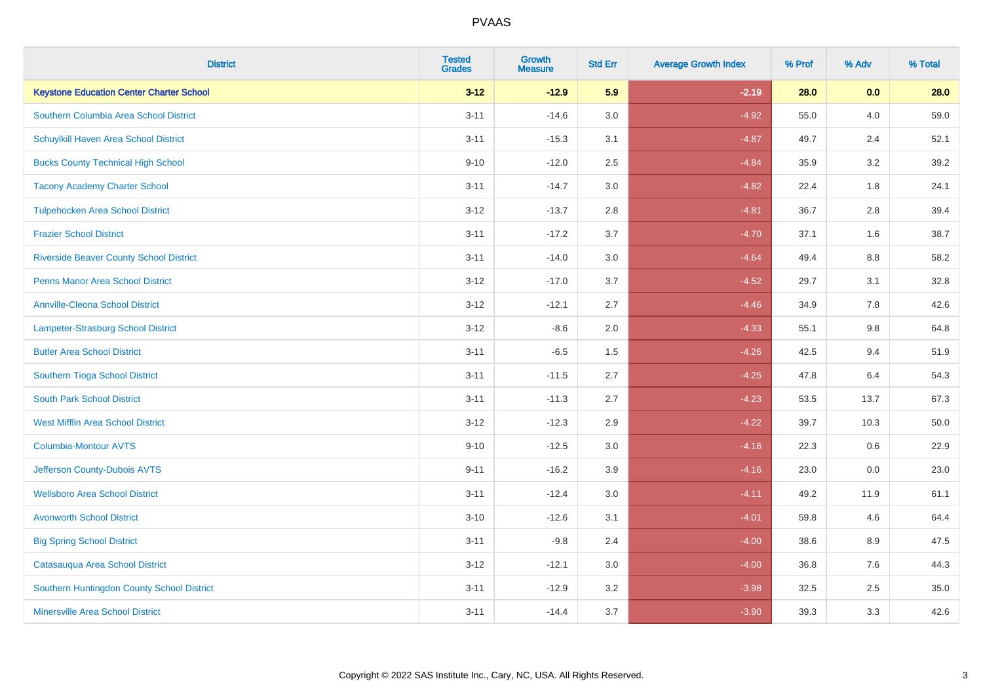| <b>District</b>                                 | <b>Tested</b><br><b>Grades</b> | <b>Growth</b><br><b>Measure</b> | <b>Std Err</b> | <b>Average Growth Index</b> | % Prof | % Adv   | % Total |
|-------------------------------------------------|--------------------------------|---------------------------------|----------------|-----------------------------|--------|---------|---------|
| <b>Keystone Education Center Charter School</b> | $3 - 12$                       | $-12.9$                         | 5.9            | $-2.19$                     | 28.0   | 0.0     | 28.0    |
| Southern Columbia Area School District          | $3 - 11$                       | $-14.6$                         | 3.0            | $-4.92$                     | 55.0   | 4.0     | 59.0    |
| Schuylkill Haven Area School District           | $3 - 11$                       | $-15.3$                         | 3.1            | $-4.87$                     | 49.7   | 2.4     | 52.1    |
| <b>Bucks County Technical High School</b>       | $9 - 10$                       | $-12.0$                         | 2.5            | $-4.84$                     | 35.9   | 3.2     | 39.2    |
| <b>Tacony Academy Charter School</b>            | $3 - 11$                       | $-14.7$                         | 3.0            | $-4.82$                     | 22.4   | 1.8     | 24.1    |
| <b>Tulpehocken Area School District</b>         | $3 - 12$                       | $-13.7$                         | 2.8            | $-4.81$                     | 36.7   | 2.8     | 39.4    |
| <b>Frazier School District</b>                  | $3 - 11$                       | $-17.2$                         | 3.7            | $-4.70$                     | 37.1   | 1.6     | 38.7    |
| <b>Riverside Beaver County School District</b>  | $3 - 11$                       | $-14.0$                         | 3.0            | $-4.64$                     | 49.4   | 8.8     | 58.2    |
| <b>Penns Manor Area School District</b>         | $3 - 12$                       | $-17.0$                         | 3.7            | $-4.52$                     | 29.7   | 3.1     | 32.8    |
| <b>Annville-Cleona School District</b>          | $3 - 12$                       | $-12.1$                         | 2.7            | $-4.46$                     | 34.9   | 7.8     | 42.6    |
| Lampeter-Strasburg School District              | $3 - 12$                       | $-8.6$                          | 2.0            | $-4.33$                     | 55.1   | 9.8     | 64.8    |
| <b>Butler Area School District</b>              | $3 - 11$                       | $-6.5$                          | 1.5            | $-4.26$                     | 42.5   | 9.4     | 51.9    |
| Southern Tioga School District                  | $3 - 11$                       | $-11.5$                         | 2.7            | $-4.25$                     | 47.8   | 6.4     | 54.3    |
| <b>South Park School District</b>               | $3 - 11$                       | $-11.3$                         | 2.7            | $-4.23$                     | 53.5   | 13.7    | 67.3    |
| <b>West Mifflin Area School District</b>        | $3 - 12$                       | $-12.3$                         | 2.9            | $-4.22$                     | 39.7   | 10.3    | 50.0    |
| <b>Columbia-Montour AVTS</b>                    | $9 - 10$                       | $-12.5$                         | 3.0            | $-4.16$                     | 22.3   | $0.6\,$ | 22.9    |
| Jefferson County-Dubois AVTS                    | $9 - 11$                       | $-16.2$                         | 3.9            | $-4.16$                     | 23.0   | 0.0     | 23.0    |
| <b>Wellsboro Area School District</b>           | $3 - 11$                       | $-12.4$                         | 3.0            | $-4.11$                     | 49.2   | 11.9    | 61.1    |
| <b>Avonworth School District</b>                | $3 - 10$                       | $-12.6$                         | 3.1            | $-4.01$                     | 59.8   | 4.6     | 64.4    |
| <b>Big Spring School District</b>               | $3 - 11$                       | $-9.8$                          | 2.4            | $-4.00$                     | 38.6   | 8.9     | 47.5    |
| Catasauqua Area School District                 | $3 - 12$                       | $-12.1$                         | 3.0            | $-4.00$                     | 36.8   | 7.6     | 44.3    |
| Southern Huntingdon County School District      | $3 - 11$                       | $-12.9$                         | 3.2            | $-3.98$                     | 32.5   | 2.5     | 35.0    |
| <b>Minersville Area School District</b>         | $3 - 11$                       | $-14.4$                         | 3.7            | $-3.90$                     | 39.3   | 3.3     | 42.6    |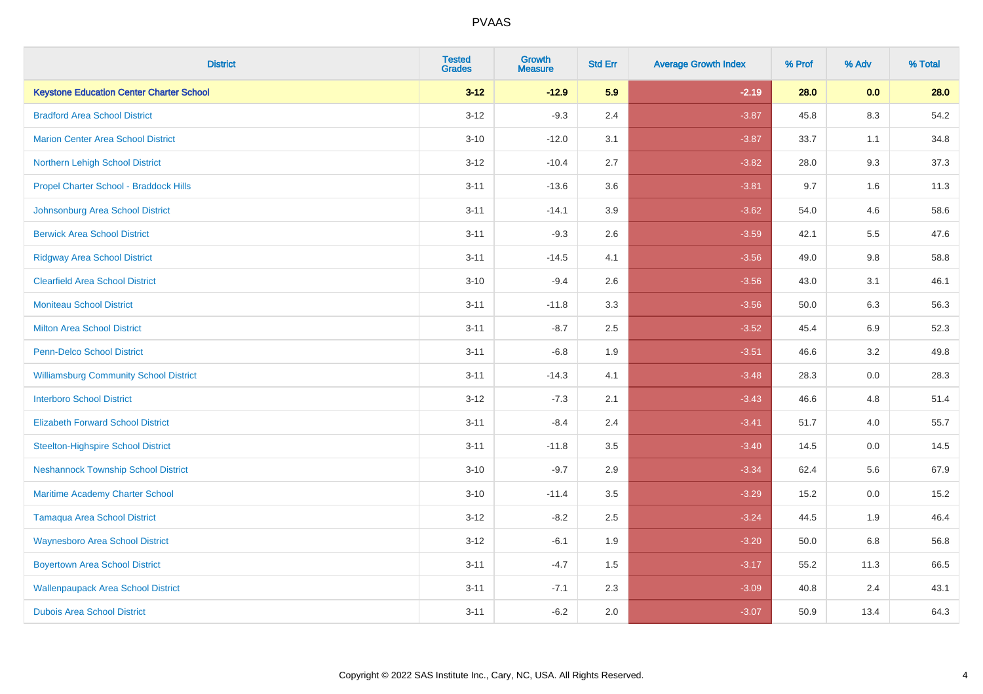| <b>District</b>                                 | <b>Tested</b><br><b>Grades</b> | <b>Growth</b><br><b>Measure</b> | <b>Std Err</b> | <b>Average Growth Index</b> | % Prof | % Adv   | % Total |
|-------------------------------------------------|--------------------------------|---------------------------------|----------------|-----------------------------|--------|---------|---------|
| <b>Keystone Education Center Charter School</b> | $3 - 12$                       | $-12.9$                         | 5.9            | $-2.19$                     | 28.0   | 0.0     | 28.0    |
| <b>Bradford Area School District</b>            | $3 - 12$                       | $-9.3$                          | 2.4            | $-3.87$                     | 45.8   | $8.3\,$ | 54.2    |
| <b>Marion Center Area School District</b>       | $3 - 10$                       | $-12.0$                         | 3.1            | $-3.87$                     | 33.7   | 1.1     | 34.8    |
| Northern Lehigh School District                 | $3 - 12$                       | $-10.4$                         | 2.7            | $-3.82$                     | 28.0   | 9.3     | 37.3    |
| Propel Charter School - Braddock Hills          | $3 - 11$                       | $-13.6$                         | 3.6            | $-3.81$                     | 9.7    | 1.6     | 11.3    |
| Johnsonburg Area School District                | $3 - 11$                       | $-14.1$                         | 3.9            | $-3.62$                     | 54.0   | 4.6     | 58.6    |
| <b>Berwick Area School District</b>             | $3 - 11$                       | $-9.3$                          | 2.6            | $-3.59$                     | 42.1   | 5.5     | 47.6    |
| <b>Ridgway Area School District</b>             | $3 - 11$                       | $-14.5$                         | 4.1            | $-3.56$                     | 49.0   | 9.8     | 58.8    |
| <b>Clearfield Area School District</b>          | $3 - 10$                       | $-9.4$                          | 2.6            | $-3.56$                     | 43.0   | 3.1     | 46.1    |
| <b>Moniteau School District</b>                 | $3 - 11$                       | $-11.8$                         | 3.3            | $-3.56$                     | 50.0   | 6.3     | 56.3    |
| <b>Milton Area School District</b>              | $3 - 11$                       | $-8.7$                          | 2.5            | $-3.52$                     | 45.4   | 6.9     | 52.3    |
| <b>Penn-Delco School District</b>               | $3 - 11$                       | $-6.8$                          | 1.9            | $-3.51$                     | 46.6   | 3.2     | 49.8    |
| <b>Williamsburg Community School District</b>   | $3 - 11$                       | $-14.3$                         | 4.1            | $-3.48$                     | 28.3   | 0.0     | 28.3    |
| <b>Interboro School District</b>                | $3 - 12$                       | $-7.3$                          | 2.1            | $-3.43$                     | 46.6   | 4.8     | 51.4    |
| <b>Elizabeth Forward School District</b>        | $3 - 11$                       | $-8.4$                          | 2.4            | $-3.41$                     | 51.7   | 4.0     | 55.7    |
| <b>Steelton-Highspire School District</b>       | $3 - 11$                       | $-11.8$                         | 3.5            | $-3.40$                     | 14.5   | 0.0     | 14.5    |
| <b>Neshannock Township School District</b>      | $3 - 10$                       | $-9.7$                          | 2.9            | $-3.34$                     | 62.4   | 5.6     | 67.9    |
| Maritime Academy Charter School                 | $3 - 10$                       | $-11.4$                         | 3.5            | $-3.29$                     | 15.2   | 0.0     | 15.2    |
| <b>Tamaqua Area School District</b>             | $3 - 12$                       | $-8.2$                          | 2.5            | $-3.24$                     | 44.5   | 1.9     | 46.4    |
| <b>Waynesboro Area School District</b>          | $3 - 12$                       | $-6.1$                          | 1.9            | $-3.20$                     | 50.0   | 6.8     | 56.8    |
| <b>Boyertown Area School District</b>           | $3 - 11$                       | $-4.7$                          | 1.5            | $-3.17$                     | 55.2   | 11.3    | 66.5    |
| <b>Wallenpaupack Area School District</b>       | $3 - 11$                       | $-7.1$                          | 2.3            | $-3.09$                     | 40.8   | 2.4     | 43.1    |
| <b>Dubois Area School District</b>              | $3 - 11$                       | $-6.2$                          | 2.0            | $-3.07$                     | 50.9   | 13.4    | 64.3    |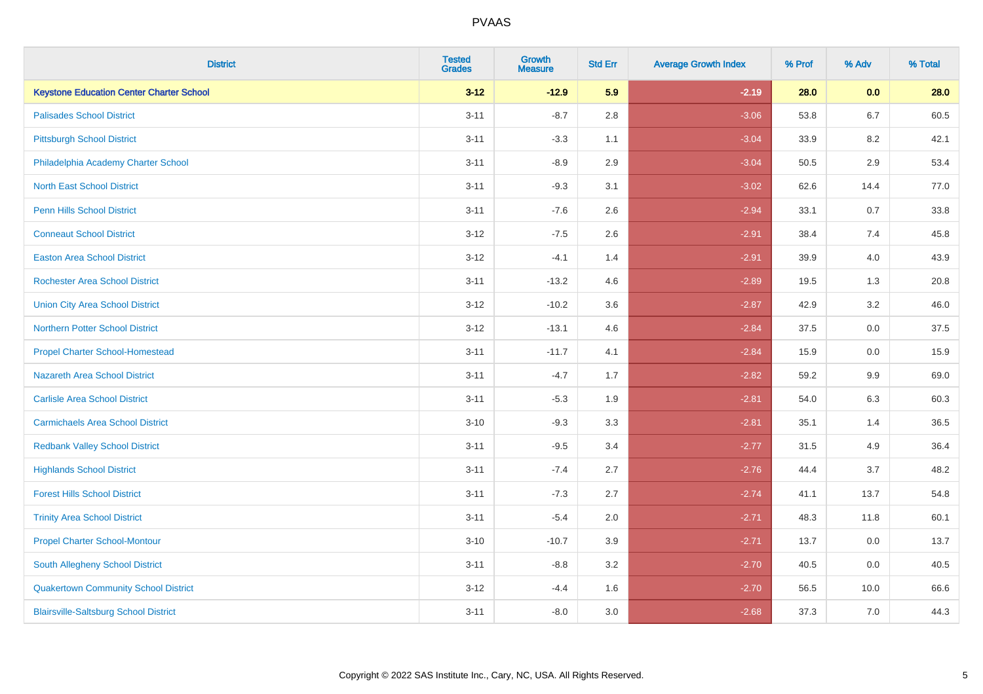| <b>District</b>                                 | <b>Tested</b><br><b>Grades</b> | <b>Growth</b><br><b>Measure</b> | <b>Std Err</b> | <b>Average Growth Index</b> | % Prof | % Adv   | % Total |
|-------------------------------------------------|--------------------------------|---------------------------------|----------------|-----------------------------|--------|---------|---------|
| <b>Keystone Education Center Charter School</b> | $3 - 12$                       | $-12.9$                         | 5.9            | $-2.19$                     | 28.0   | 0.0     | 28.0    |
| <b>Palisades School District</b>                | $3 - 11$                       | $-8.7$                          | 2.8            | $-3.06$                     | 53.8   | $6.7\,$ | 60.5    |
| <b>Pittsburgh School District</b>               | $3 - 11$                       | $-3.3$                          | 1.1            | $-3.04$                     | 33.9   | 8.2     | 42.1    |
| Philadelphia Academy Charter School             | $3 - 11$                       | $-8.9$                          | 2.9            | $-3.04$                     | 50.5   | 2.9     | 53.4    |
| <b>North East School District</b>               | $3 - 11$                       | $-9.3$                          | 3.1            | $-3.02$                     | 62.6   | 14.4    | 77.0    |
| <b>Penn Hills School District</b>               | $3 - 11$                       | $-7.6$                          | 2.6            | $-2.94$                     | 33.1   | 0.7     | 33.8    |
| <b>Conneaut School District</b>                 | $3 - 12$                       | $-7.5$                          | 2.6            | $-2.91$                     | 38.4   | 7.4     | 45.8    |
| <b>Easton Area School District</b>              | $3 - 12$                       | $-4.1$                          | 1.4            | $-2.91$                     | 39.9   | 4.0     | 43.9    |
| <b>Rochester Area School District</b>           | $3 - 11$                       | $-13.2$                         | 4.6            | $-2.89$                     | 19.5   | 1.3     | 20.8    |
| <b>Union City Area School District</b>          | $3 - 12$                       | $-10.2$                         | 3.6            | $-2.87$                     | 42.9   | 3.2     | 46.0    |
| <b>Northern Potter School District</b>          | $3 - 12$                       | $-13.1$                         | 4.6            | $-2.84$                     | 37.5   | 0.0     | 37.5    |
| <b>Propel Charter School-Homestead</b>          | $3 - 11$                       | $-11.7$                         | 4.1            | $-2.84$                     | 15.9   | 0.0     | 15.9    |
| Nazareth Area School District                   | $3 - 11$                       | $-4.7$                          | 1.7            | $-2.82$                     | 59.2   | $9.9\,$ | 69.0    |
| <b>Carlisle Area School District</b>            | $3 - 11$                       | $-5.3$                          | 1.9            | $-2.81$                     | 54.0   | 6.3     | 60.3    |
| <b>Carmichaels Area School District</b>         | $3 - 10$                       | $-9.3$                          | 3.3            | $-2.81$                     | 35.1   | 1.4     | 36.5    |
| <b>Redbank Valley School District</b>           | $3 - 11$                       | $-9.5$                          | 3.4            | $-2.77$                     | 31.5   | 4.9     | 36.4    |
| <b>Highlands School District</b>                | $3 - 11$                       | $-7.4$                          | 2.7            | $-2.76$                     | 44.4   | 3.7     | 48.2    |
| <b>Forest Hills School District</b>             | $3 - 11$                       | $-7.3$                          | 2.7            | $-2.74$                     | 41.1   | 13.7    | 54.8    |
| <b>Trinity Area School District</b>             | $3 - 11$                       | $-5.4$                          | 2.0            | $-2.71$                     | 48.3   | 11.8    | 60.1    |
| <b>Propel Charter School-Montour</b>            | $3 - 10$                       | $-10.7$                         | 3.9            | $-2.71$                     | 13.7   | 0.0     | 13.7    |
| South Allegheny School District                 | $3 - 11$                       | $-8.8$                          | 3.2            | $-2.70$                     | 40.5   | 0.0     | 40.5    |
| <b>Quakertown Community School District</b>     | $3 - 12$                       | $-4.4$                          | 1.6            | $-2.70$                     | 56.5   | 10.0    | 66.6    |
| <b>Blairsville-Saltsburg School District</b>    | $3 - 11$                       | $-8.0$                          | 3.0            | $-2.68$                     | 37.3   | 7.0     | 44.3    |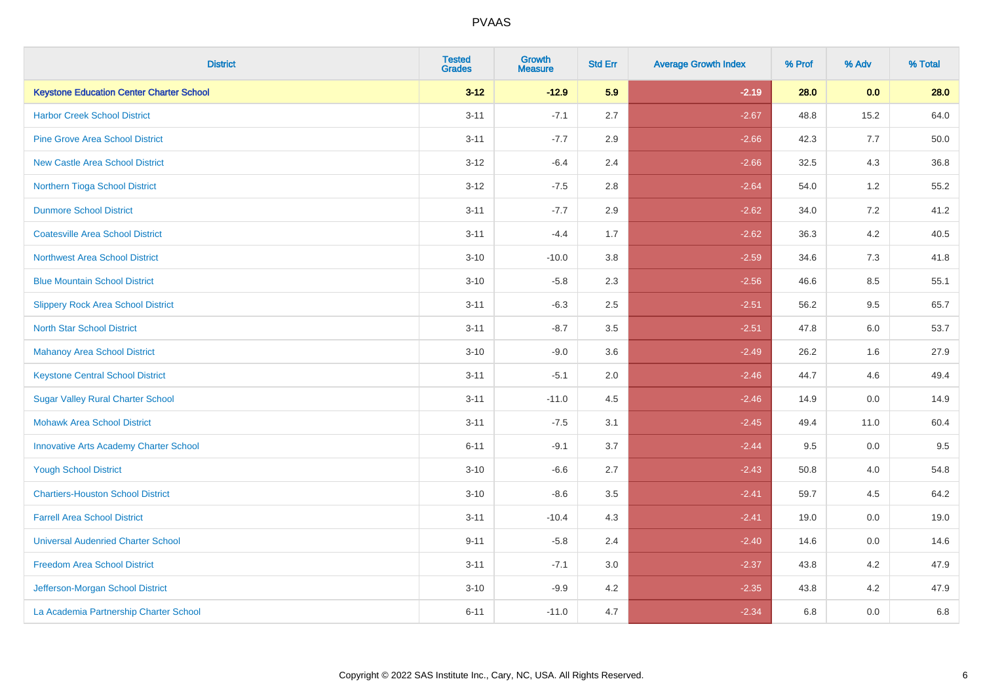| <b>District</b>                                 | <b>Tested</b><br><b>Grades</b> | <b>Growth</b><br><b>Measure</b> | <b>Std Err</b> | <b>Average Growth Index</b> | % Prof | % Adv   | % Total |
|-------------------------------------------------|--------------------------------|---------------------------------|----------------|-----------------------------|--------|---------|---------|
| <b>Keystone Education Center Charter School</b> | $3 - 12$                       | $-12.9$                         | 5.9            | $-2.19$                     | 28.0   | 0.0     | 28.0    |
| <b>Harbor Creek School District</b>             | $3 - 11$                       | $-7.1$                          | 2.7            | $-2.67$                     | 48.8   | 15.2    | 64.0    |
| <b>Pine Grove Area School District</b>          | $3 - 11$                       | $-7.7$                          | 2.9            | $-2.66$                     | 42.3   | 7.7     | 50.0    |
| <b>New Castle Area School District</b>          | $3-12$                         | $-6.4$                          | 2.4            | $-2.66$                     | 32.5   | $4.3$   | 36.8    |
| Northern Tioga School District                  | $3 - 12$                       | $-7.5$                          | 2.8            | $-2.64$                     | 54.0   | 1.2     | 55.2    |
| <b>Dunmore School District</b>                  | $3 - 11$                       | $-7.7$                          | 2.9            | $-2.62$                     | 34.0   | 7.2     | 41.2    |
| <b>Coatesville Area School District</b>         | $3 - 11$                       | $-4.4$                          | 1.7            | $-2.62$                     | 36.3   | 4.2     | 40.5    |
| <b>Northwest Area School District</b>           | $3 - 10$                       | $-10.0$                         | 3.8            | $-2.59$                     | 34.6   | 7.3     | 41.8    |
| <b>Blue Mountain School District</b>            | $3 - 10$                       | $-5.8$                          | 2.3            | $-2.56$                     | 46.6   | 8.5     | 55.1    |
| <b>Slippery Rock Area School District</b>       | $3 - 11$                       | $-6.3$                          | 2.5            | $-2.51$                     | 56.2   | $9.5\,$ | 65.7    |
| <b>North Star School District</b>               | $3 - 11$                       | $-8.7$                          | 3.5            | $-2.51$                     | 47.8   | 6.0     | 53.7    |
| Mahanoy Area School District                    | $3 - 10$                       | $-9.0$                          | 3.6            | $-2.49$                     | 26.2   | 1.6     | 27.9    |
| <b>Keystone Central School District</b>         | $3 - 11$                       | $-5.1$                          | 2.0            | $-2.46$                     | 44.7   | 4.6     | 49.4    |
| <b>Sugar Valley Rural Charter School</b>        | $3 - 11$                       | $-11.0$                         | 4.5            | $-2.46$                     | 14.9   | $0.0\,$ | 14.9    |
| <b>Mohawk Area School District</b>              | $3 - 11$                       | $-7.5$                          | 3.1            | $-2.45$                     | 49.4   | 11.0    | 60.4    |
| <b>Innovative Arts Academy Charter School</b>   | $6 - 11$                       | $-9.1$                          | 3.7            | $-2.44$                     | 9.5    | 0.0     | 9.5     |
| <b>Yough School District</b>                    | $3 - 10$                       | $-6.6$                          | 2.7            | $-2.43$                     | 50.8   | 4.0     | 54.8    |
| <b>Chartiers-Houston School District</b>        | $3 - 10$                       | $-8.6$                          | 3.5            | $-2.41$                     | 59.7   | 4.5     | 64.2    |
| <b>Farrell Area School District</b>             | $3 - 11$                       | $-10.4$                         | 4.3            | $-2.41$                     | 19.0   | 0.0     | 19.0    |
| <b>Universal Audenried Charter School</b>       | $9 - 11$                       | $-5.8$                          | 2.4            | $-2.40$                     | 14.6   | 0.0     | 14.6    |
| <b>Freedom Area School District</b>             | $3 - 11$                       | $-7.1$                          | 3.0            | $-2.37$                     | 43.8   | 4.2     | 47.9    |
| Jefferson-Morgan School District                | $3 - 10$                       | $-9.9$                          | 4.2            | $-2.35$                     | 43.8   | 4.2     | 47.9    |
| La Academia Partnership Charter School          | $6 - 11$                       | $-11.0$                         | 4.7            | $-2.34$                     | 6.8    | 0.0     | 6.8     |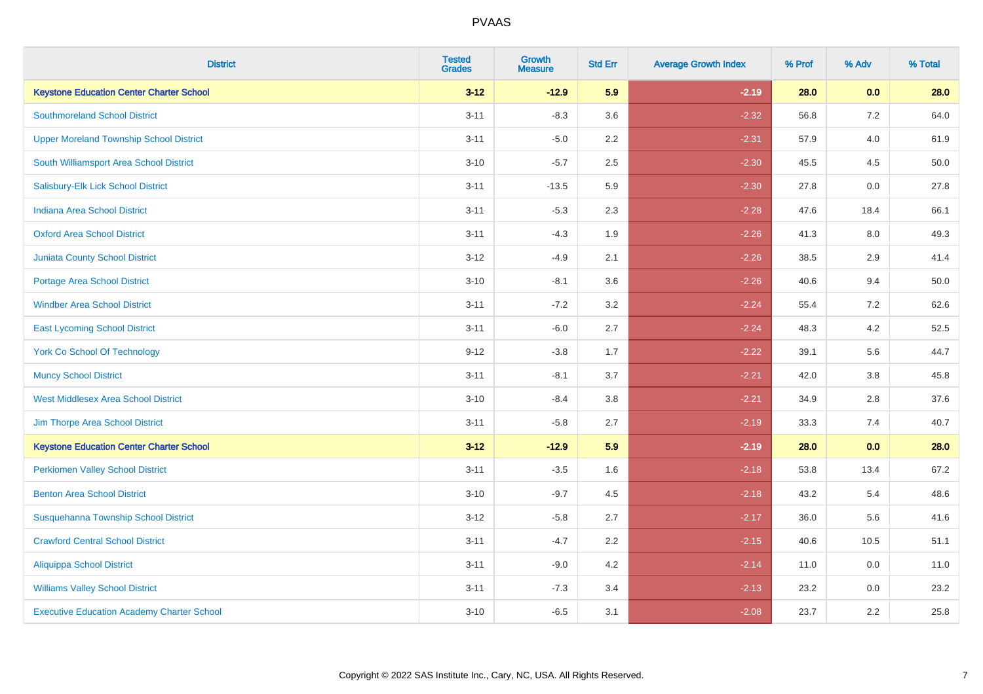| <b>District</b>                                   | <b>Tested</b><br><b>Grades</b> | <b>Growth</b><br><b>Measure</b> | <b>Std Err</b> | <b>Average Growth Index</b> | % Prof | % Adv   | % Total |
|---------------------------------------------------|--------------------------------|---------------------------------|----------------|-----------------------------|--------|---------|---------|
| <b>Keystone Education Center Charter School</b>   | $3 - 12$                       | $-12.9$                         | 5.9            | $-2.19$                     | 28.0   | 0.0     | 28.0    |
| <b>Southmoreland School District</b>              | $3 - 11$                       | $-8.3$                          | 3.6            | $-2.32$                     | 56.8   | 7.2     | 64.0    |
| <b>Upper Moreland Township School District</b>    | $3 - 11$                       | $-5.0$                          | 2.2            | $-2.31$                     | 57.9   | 4.0     | 61.9    |
| South Williamsport Area School District           | $3 - 10$                       | $-5.7$                          | 2.5            | $-2.30$                     | 45.5   | 4.5     | 50.0    |
| Salisbury-Elk Lick School District                | $3 - 11$                       | $-13.5$                         | 5.9            | $-2.30$                     | 27.8   | 0.0     | 27.8    |
| <b>Indiana Area School District</b>               | $3 - 11$                       | $-5.3$                          | 2.3            | $-2.28$                     | 47.6   | 18.4    | 66.1    |
| <b>Oxford Area School District</b>                | $3 - 11$                       | $-4.3$                          | 1.9            | $-2.26$                     | 41.3   | $8.0\,$ | 49.3    |
| <b>Juniata County School District</b>             | $3 - 12$                       | $-4.9$                          | 2.1            | $-2.26$                     | 38.5   | 2.9     | 41.4    |
| Portage Area School District                      | $3 - 10$                       | $-8.1$                          | 3.6            | $-2.26$                     | 40.6   | 9.4     | 50.0    |
| <b>Windber Area School District</b>               | $3 - 11$                       | $-7.2$                          | 3.2            | $-2.24$                     | 55.4   | 7.2     | 62.6    |
| <b>East Lycoming School District</b>              | $3 - 11$                       | $-6.0$                          | 2.7            | $-2.24$                     | 48.3   | 4.2     | 52.5    |
| <b>York Co School Of Technology</b>               | $9 - 12$                       | $-3.8$                          | 1.7            | $-2.22$                     | 39.1   | 5.6     | 44.7    |
| <b>Muncy School District</b>                      | $3 - 11$                       | $-8.1$                          | 3.7            | $-2.21$                     | 42.0   | 3.8     | 45.8    |
| <b>West Middlesex Area School District</b>        | $3 - 10$                       | $-8.4$                          | 3.8            | $-2.21$                     | 34.9   | 2.8     | 37.6    |
| Jim Thorpe Area School District                   | $3 - 11$                       | $-5.8$                          | 2.7            | $-2.19$                     | 33.3   | 7.4     | 40.7    |
| <b>Keystone Education Center Charter School</b>   | $3 - 12$                       | $-12.9$                         | 5.9            | $-2.19$                     | 28.0   | 0.0     | 28.0    |
| <b>Perkiomen Valley School District</b>           | $3 - 11$                       | $-3.5$                          | 1.6            | $-2.18$                     | 53.8   | 13.4    | 67.2    |
| <b>Benton Area School District</b>                | $3 - 10$                       | $-9.7$                          | 4.5            | $-2.18$                     | 43.2   | 5.4     | 48.6    |
| Susquehanna Township School District              | $3 - 12$                       | $-5.8$                          | 2.7            | $-2.17$                     | 36.0   | 5.6     | 41.6    |
| <b>Crawford Central School District</b>           | $3 - 11$                       | $-4.7$                          | 2.2            | $-2.15$                     | 40.6   | 10.5    | 51.1    |
| <b>Aliquippa School District</b>                  | $3 - 11$                       | $-9.0$                          | 4.2            | $-2.14$                     | 11.0   | 0.0     | 11.0    |
| <b>Williams Valley School District</b>            | $3 - 11$                       | $-7.3$                          | 3.4            | $-2.13$                     | 23.2   | 0.0     | 23.2    |
| <b>Executive Education Academy Charter School</b> | $3 - 10$                       | $-6.5$                          | 3.1            | $-2.08$                     | 23.7   | 2.2     | 25.8    |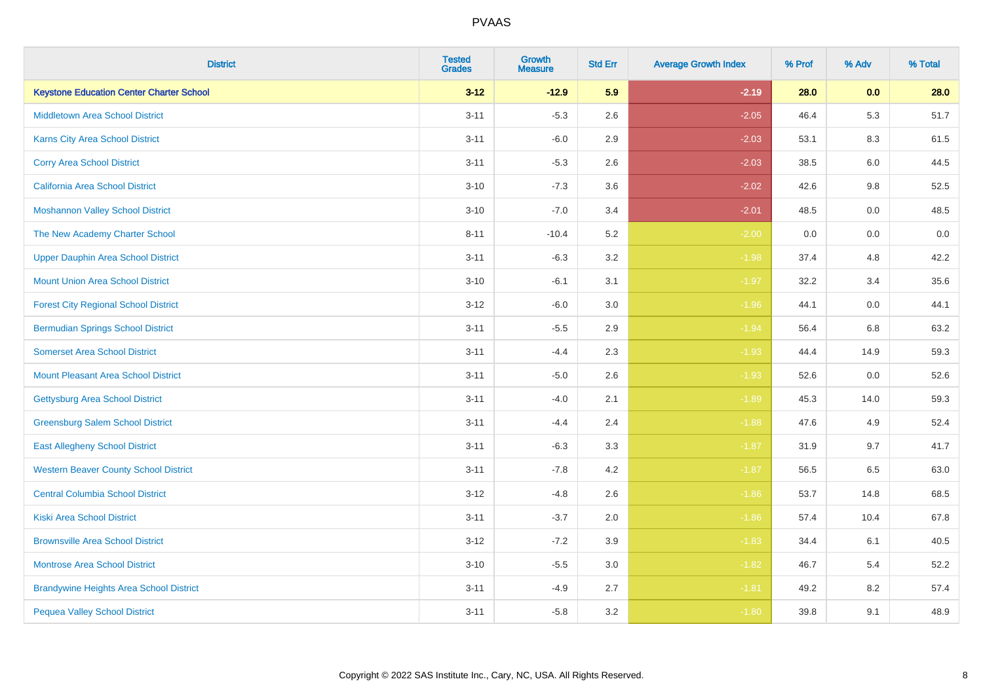| <b>District</b>                                 | <b>Tested</b><br><b>Grades</b> | <b>Growth</b><br><b>Measure</b> | <b>Std Err</b> | <b>Average Growth Index</b> | % Prof | % Adv | % Total |
|-------------------------------------------------|--------------------------------|---------------------------------|----------------|-----------------------------|--------|-------|---------|
| <b>Keystone Education Center Charter School</b> | $3 - 12$                       | $-12.9$                         | 5.9            | $-2.19$                     | 28.0   | 0.0   | 28.0    |
| <b>Middletown Area School District</b>          | $3 - 11$                       | $-5.3$                          | 2.6            | $-2.05$                     | 46.4   | 5.3   | 51.7    |
| <b>Karns City Area School District</b>          | $3 - 11$                       | $-6.0$                          | 2.9            | $-2.03$                     | 53.1   | 8.3   | 61.5    |
| <b>Corry Area School District</b>               | $3 - 11$                       | $-5.3$                          | 2.6            | $-2.03$                     | 38.5   | 6.0   | 44.5    |
| <b>California Area School District</b>          | $3 - 10$                       | $-7.3$                          | 3.6            | $-2.02$                     | 42.6   | 9.8   | 52.5    |
| <b>Moshannon Valley School District</b>         | $3 - 10$                       | $-7.0$                          | 3.4            | $-2.01$                     | 48.5   | 0.0   | 48.5    |
| The New Academy Charter School                  | $8 - 11$                       | $-10.4$                         | 5.2            | $-2.00$                     | 0.0    | 0.0   | 0.0     |
| <b>Upper Dauphin Area School District</b>       | $3 - 11$                       | $-6.3$                          | 3.2            | $-1.98$                     | 37.4   | 4.8   | 42.2    |
| <b>Mount Union Area School District</b>         | $3 - 10$                       | $-6.1$                          | 3.1            | $-1.97$                     | 32.2   | 3.4   | 35.6    |
| <b>Forest City Regional School District</b>     | $3 - 12$                       | $-6.0$                          | 3.0            | $-1.96$                     | 44.1   | 0.0   | 44.1    |
| <b>Bermudian Springs School District</b>        | $3 - 11$                       | $-5.5$                          | 2.9            | $-1.94$                     | 56.4   | 6.8   | 63.2    |
| <b>Somerset Area School District</b>            | $3 - 11$                       | $-4.4$                          | 2.3            | $-1.93$                     | 44.4   | 14.9  | 59.3    |
| <b>Mount Pleasant Area School District</b>      | $3 - 11$                       | $-5.0$                          | 2.6            | $-1.93$                     | 52.6   | 0.0   | 52.6    |
| Gettysburg Area School District                 | $3 - 11$                       | $-4.0$                          | 2.1            | $-1.89$                     | 45.3   | 14.0  | 59.3    |
| <b>Greensburg Salem School District</b>         | $3 - 11$                       | $-4.4$                          | 2.4            | $-1.88$                     | 47.6   | 4.9   | 52.4    |
| <b>East Allegheny School District</b>           | $3 - 11$                       | $-6.3$                          | 3.3            | $-1.87$                     | 31.9   | 9.7   | 41.7    |
| <b>Western Beaver County School District</b>    | $3 - 11$                       | $-7.8$                          | 4.2            | $-1.87$                     | 56.5   | 6.5   | 63.0    |
| <b>Central Columbia School District</b>         | $3 - 12$                       | $-4.8$                          | 2.6            | $-1.86$                     | 53.7   | 14.8  | 68.5    |
| <b>Kiski Area School District</b>               | $3 - 11$                       | $-3.7$                          | 2.0            | $-1.86$                     | 57.4   | 10.4  | 67.8    |
| <b>Brownsville Area School District</b>         | $3 - 12$                       | $-7.2$                          | 3.9            | $-1.83$                     | 34.4   | 6.1   | 40.5    |
| <b>Montrose Area School District</b>            | $3 - 10$                       | $-5.5$                          | 3.0            | $-1.82$                     | 46.7   | 5.4   | 52.2    |
| <b>Brandywine Heights Area School District</b>  | $3 - 11$                       | $-4.9$                          | 2.7            | $-1.81$                     | 49.2   | 8.2   | 57.4    |
| <b>Pequea Valley School District</b>            | $3 - 11$                       | $-5.8$                          | 3.2            | $-1.80$                     | 39.8   | 9.1   | 48.9    |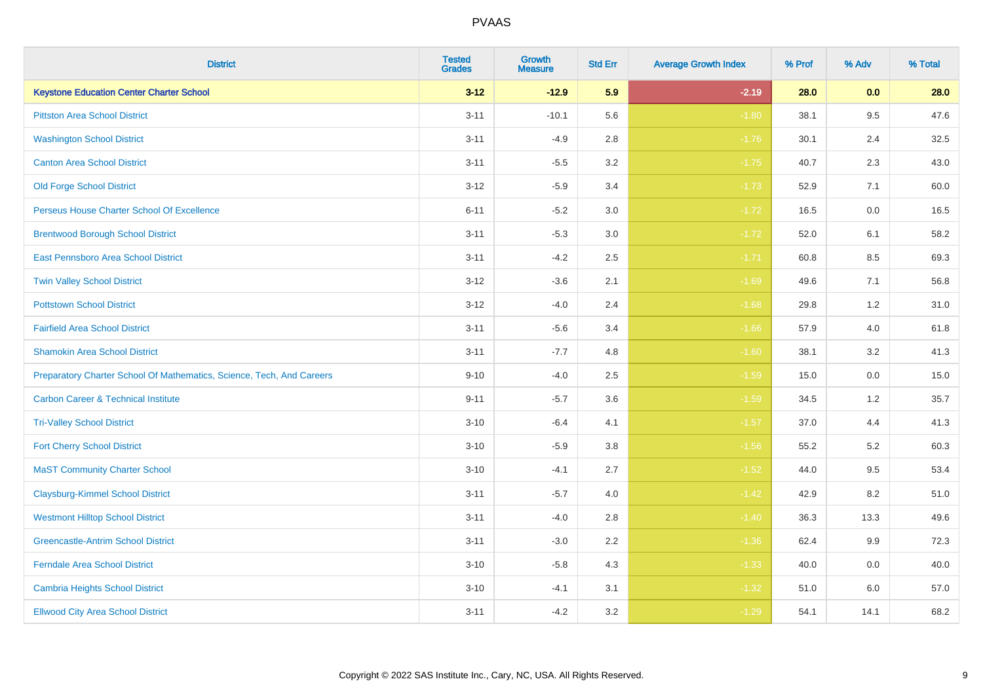| <b>District</b>                                                       | <b>Tested</b><br><b>Grades</b> | <b>Growth</b><br><b>Measure</b> | <b>Std Err</b> | <b>Average Growth Index</b> | % Prof | % Adv | % Total |
|-----------------------------------------------------------------------|--------------------------------|---------------------------------|----------------|-----------------------------|--------|-------|---------|
| <b>Keystone Education Center Charter School</b>                       | $3 - 12$                       | $-12.9$                         | 5.9            | $-2.19$                     | 28.0   | 0.0   | 28.0    |
| <b>Pittston Area School District</b>                                  | $3 - 11$                       | $-10.1$                         | 5.6            | $-1.80$                     | 38.1   | 9.5   | 47.6    |
| <b>Washington School District</b>                                     | $3 - 11$                       | $-4.9$                          | 2.8            | $-1.76$                     | 30.1   | 2.4   | 32.5    |
| <b>Canton Area School District</b>                                    | $3 - 11$                       | $-5.5$                          | $3.2\,$        | $-1.75$                     | 40.7   | 2.3   | 43.0    |
| <b>Old Forge School District</b>                                      | $3 - 12$                       | $-5.9$                          | 3.4            | $-1.73$                     | 52.9   | 7.1   | 60.0    |
| Perseus House Charter School Of Excellence                            | $6 - 11$                       | $-5.2$                          | 3.0            | $-1.72$                     | 16.5   | 0.0   | 16.5    |
| <b>Brentwood Borough School District</b>                              | $3 - 11$                       | $-5.3$                          | $3.0\,$        | $-1.72$                     | 52.0   | 6.1   | 58.2    |
| East Pennsboro Area School District                                   | $3 - 11$                       | $-4.2$                          | 2.5            | $-1.71$                     | 60.8   | 8.5   | 69.3    |
| <b>Twin Valley School District</b>                                    | $3 - 12$                       | $-3.6$                          | 2.1            | $-1.69$                     | 49.6   | 7.1   | 56.8    |
| <b>Pottstown School District</b>                                      | $3 - 12$                       | $-4.0$                          | 2.4            | $-1.68$                     | 29.8   | 1.2   | 31.0    |
| <b>Fairfield Area School District</b>                                 | $3 - 11$                       | $-5.6$                          | 3.4            | $-1.66$                     | 57.9   | 4.0   | 61.8    |
| <b>Shamokin Area School District</b>                                  | $3 - 11$                       | $-7.7$                          | 4.8            | $-1.60$                     | 38.1   | 3.2   | 41.3    |
| Preparatory Charter School Of Mathematics, Science, Tech, And Careers | $9 - 10$                       | $-4.0$                          | 2.5            | $-1.59$                     | 15.0   | 0.0   | 15.0    |
| <b>Carbon Career &amp; Technical Institute</b>                        | $9 - 11$                       | $-5.7$                          | 3.6            | $-1.59$                     | 34.5   | 1.2   | 35.7    |
| <b>Tri-Valley School District</b>                                     | $3 - 10$                       | $-6.4$                          | 4.1            | $-1.57$                     | 37.0   | 4.4   | 41.3    |
| <b>Fort Cherry School District</b>                                    | $3 - 10$                       | $-5.9$                          | 3.8            | $-1.56$                     | 55.2   | 5.2   | 60.3    |
| <b>MaST Community Charter School</b>                                  | $3 - 10$                       | $-4.1$                          | 2.7            | $-1.52$                     | 44.0   | 9.5   | 53.4    |
| <b>Claysburg-Kimmel School District</b>                               | $3 - 11$                       | $-5.7$                          | 4.0            | $-1.42$                     | 42.9   | 8.2   | 51.0    |
| <b>Westmont Hilltop School District</b>                               | $3 - 11$                       | $-4.0$                          | 2.8            | $-1.40$                     | 36.3   | 13.3  | 49.6    |
| <b>Greencastle-Antrim School District</b>                             | $3 - 11$                       | $-3.0$                          | 2.2            | $-1.36$                     | 62.4   | 9.9   | 72.3    |
| <b>Ferndale Area School District</b>                                  | $3 - 10$                       | $-5.8$                          | 4.3            | $-1.33$                     | 40.0   | 0.0   | 40.0    |
| <b>Cambria Heights School District</b>                                | $3 - 10$                       | $-4.1$                          | 3.1            | $-1.32$                     | 51.0   | 6.0   | 57.0    |
| <b>Ellwood City Area School District</b>                              | $3 - 11$                       | $-4.2$                          | 3.2            | $-1.29$                     | 54.1   | 14.1  | 68.2    |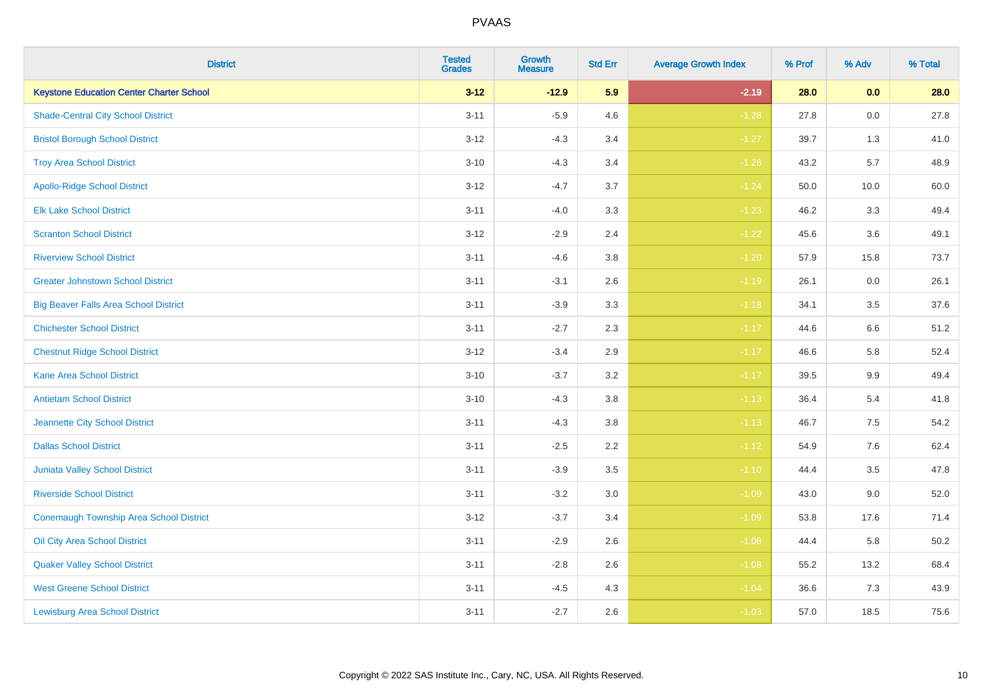| <b>District</b>                                 | <b>Tested</b><br><b>Grades</b> | <b>Growth</b><br><b>Measure</b> | <b>Std Err</b> | <b>Average Growth Index</b> | % Prof | % Adv   | % Total |
|-------------------------------------------------|--------------------------------|---------------------------------|----------------|-----------------------------|--------|---------|---------|
| <b>Keystone Education Center Charter School</b> | $3 - 12$                       | $-12.9$                         | 5.9            | $-2.19$                     | 28.0   | 0.0     | 28.0    |
| <b>Shade-Central City School District</b>       | $3 - 11$                       | $-5.9$                          | 4.6            | $-1.28$                     | 27.8   | 0.0     | 27.8    |
| <b>Bristol Borough School District</b>          | $3 - 12$                       | $-4.3$                          | 3.4            | $-1.27$                     | 39.7   | 1.3     | 41.0    |
| <b>Troy Area School District</b>                | $3 - 10$                       | $-4.3$                          | 3.4            | $-1.26$                     | 43.2   | 5.7     | 48.9    |
| <b>Apollo-Ridge School District</b>             | $3 - 12$                       | $-4.7$                          | 3.7            | $-1.24$                     | 50.0   | 10.0    | 60.0    |
| <b>Elk Lake School District</b>                 | $3 - 11$                       | $-4.0$                          | 3.3            | $-1.23$                     | 46.2   | 3.3     | 49.4    |
| <b>Scranton School District</b>                 | $3 - 12$                       | $-2.9$                          | 2.4            | $-1.22$                     | 45.6   | 3.6     | 49.1    |
| <b>Riverview School District</b>                | $3 - 11$                       | $-4.6$                          | 3.8            | $-1.20$                     | 57.9   | 15.8    | 73.7    |
| <b>Greater Johnstown School District</b>        | $3 - 11$                       | $-3.1$                          | 2.6            | $-1.19$                     | 26.1   | 0.0     | 26.1    |
| <b>Big Beaver Falls Area School District</b>    | $3 - 11$                       | $-3.9$                          | 3.3            | $-1.18$                     | 34.1   | 3.5     | 37.6    |
| <b>Chichester School District</b>               | $3 - 11$                       | $-2.7$                          | 2.3            | $-1.17$                     | 44.6   | 6.6     | 51.2    |
| <b>Chestnut Ridge School District</b>           | $3 - 12$                       | $-3.4$                          | 2.9            | $-1.17$                     | 46.6   | 5.8     | 52.4    |
| Kane Area School District                       | $3 - 10$                       | $-3.7$                          | $3.2\,$        | $-1.17$                     | 39.5   | $9.9\,$ | 49.4    |
| <b>Antietam School District</b>                 | $3 - 10$                       | $-4.3$                          | 3.8            | $-1.13$                     | 36.4   | 5.4     | 41.8    |
| Jeannette City School District                  | $3 - 11$                       | $-4.3$                          | 3.8            | $-1.13$                     | 46.7   | $7.5\,$ | 54.2    |
| <b>Dallas School District</b>                   | $3 - 11$                       | $-2.5$                          | 2.2            | $-1.12$                     | 54.9   | 7.6     | 62.4    |
| Juniata Valley School District                  | $3 - 11$                       | $-3.9$                          | 3.5            | $-1.10$                     | 44.4   | 3.5     | 47.8    |
| <b>Riverside School District</b>                | $3 - 11$                       | $-3.2$                          | 3.0            | $-1.09$                     | 43.0   | 9.0     | 52.0    |
| Conemaugh Township Area School District         | $3 - 12$                       | $-3.7$                          | 3.4            | $-1.09$                     | 53.8   | 17.6    | 71.4    |
| Oil City Area School District                   | $3 - 11$                       | $-2.9$                          | 2.6            | $-1.08$                     | 44.4   | 5.8     | 50.2    |
| <b>Quaker Valley School District</b>            | $3 - 11$                       | $-2.8$                          | 2.6            | $-1.08$                     | 55.2   | 13.2    | 68.4    |
| <b>West Greene School District</b>              | $3 - 11$                       | $-4.5$                          | 4.3            | $-1.04$                     | 36.6   | 7.3     | 43.9    |
| <b>Lewisburg Area School District</b>           | $3 - 11$                       | $-2.7$                          | 2.6            | $-1.03$                     | 57.0   | 18.5    | 75.6    |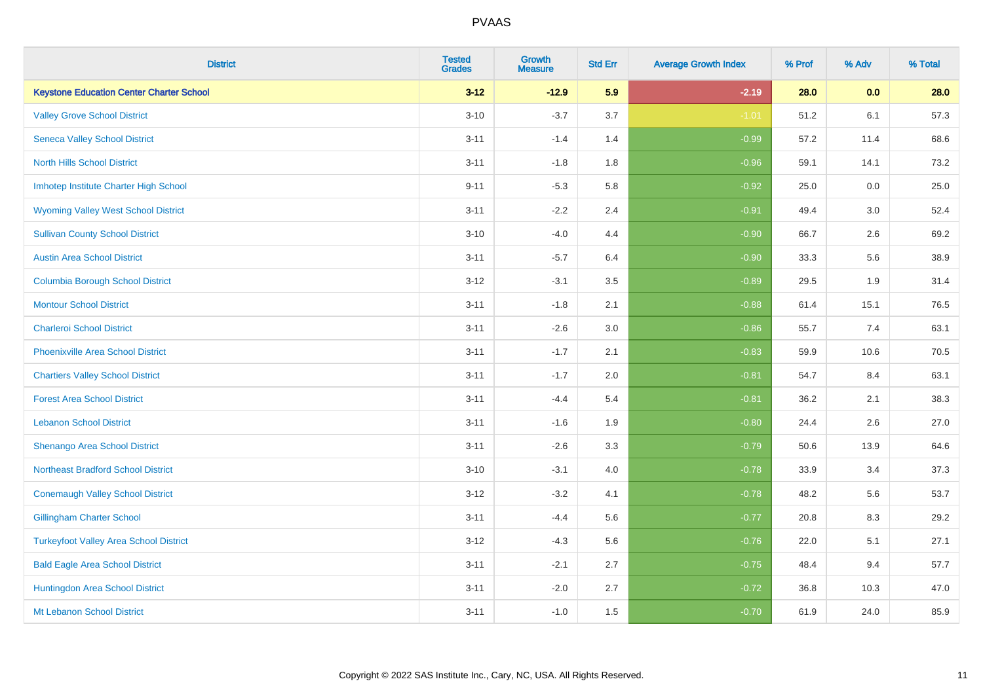| <b>District</b>                                 | <b>Tested</b><br><b>Grades</b> | <b>Growth</b><br><b>Measure</b> | <b>Std Err</b> | <b>Average Growth Index</b> | % Prof | % Adv | % Total |
|-------------------------------------------------|--------------------------------|---------------------------------|----------------|-----------------------------|--------|-------|---------|
| <b>Keystone Education Center Charter School</b> | $3 - 12$                       | $-12.9$                         | 5.9            | $-2.19$                     | 28.0   | 0.0   | 28.0    |
| <b>Valley Grove School District</b>             | $3 - 10$                       | $-3.7$                          | 3.7            | $-1.01$                     | 51.2   | 6.1   | 57.3    |
| <b>Seneca Valley School District</b>            | $3 - 11$                       | $-1.4$                          | 1.4            | $-0.99$                     | 57.2   | 11.4  | 68.6    |
| <b>North Hills School District</b>              | $3 - 11$                       | $-1.8$                          | 1.8            | $-0.96$                     | 59.1   | 14.1  | 73.2    |
| Imhotep Institute Charter High School           | $9 - 11$                       | $-5.3$                          | 5.8            | $-0.92$                     | 25.0   | 0.0   | 25.0    |
| <b>Wyoming Valley West School District</b>      | $3 - 11$                       | $-2.2$                          | 2.4            | $-0.91$                     | 49.4   | 3.0   | 52.4    |
| <b>Sullivan County School District</b>          | $3 - 10$                       | $-4.0$                          | 4.4            | $-0.90$                     | 66.7   | 2.6   | 69.2    |
| <b>Austin Area School District</b>              | $3 - 11$                       | $-5.7$                          | 6.4            | $-0.90$                     | 33.3   | 5.6   | 38.9    |
| <b>Columbia Borough School District</b>         | $3 - 12$                       | $-3.1$                          | 3.5            | $-0.89$                     | 29.5   | 1.9   | 31.4    |
| <b>Montour School District</b>                  | $3 - 11$                       | $-1.8$                          | 2.1            | $-0.88$                     | 61.4   | 15.1  | 76.5    |
| <b>Charleroi School District</b>                | $3 - 11$                       | $-2.6$                          | 3.0            | $-0.86$                     | 55.7   | 7.4   | 63.1    |
| <b>Phoenixville Area School District</b>        | $3 - 11$                       | $-1.7$                          | 2.1            | $-0.83$                     | 59.9   | 10.6  | 70.5    |
| <b>Chartiers Valley School District</b>         | $3 - 11$                       | $-1.7$                          | 2.0            | $-0.81$                     | 54.7   | 8.4   | 63.1    |
| <b>Forest Area School District</b>              | $3 - 11$                       | $-4.4$                          | 5.4            | $-0.81$                     | 36.2   | 2.1   | 38.3    |
| <b>Lebanon School District</b>                  | $3 - 11$                       | $-1.6$                          | 1.9            | $-0.80$                     | 24.4   | 2.6   | 27.0    |
| Shenango Area School District                   | $3 - 11$                       | $-2.6$                          | 3.3            | $-0.79$                     | 50.6   | 13.9  | 64.6    |
| <b>Northeast Bradford School District</b>       | $3 - 10$                       | $-3.1$                          | 4.0            | $-0.78$                     | 33.9   | 3.4   | 37.3    |
| <b>Conemaugh Valley School District</b>         | $3 - 12$                       | $-3.2$                          | 4.1            | $-0.78$                     | 48.2   | 5.6   | 53.7    |
| <b>Gillingham Charter School</b>                | $3 - 11$                       | $-4.4$                          | 5.6            | $-0.77$                     | 20.8   | 8.3   | 29.2    |
| <b>Turkeyfoot Valley Area School District</b>   | $3 - 12$                       | $-4.3$                          | 5.6            | $-0.76$                     | 22.0   | 5.1   | 27.1    |
| <b>Bald Eagle Area School District</b>          | $3 - 11$                       | $-2.1$                          | 2.7            | $-0.75$                     | 48.4   | 9.4   | 57.7    |
| Huntingdon Area School District                 | $3 - 11$                       | $-2.0$                          | 2.7            | $-0.72$                     | 36.8   | 10.3  | 47.0    |
| Mt Lebanon School District                      | $3 - 11$                       | $-1.0$                          | 1.5            | $-0.70$                     | 61.9   | 24.0  | 85.9    |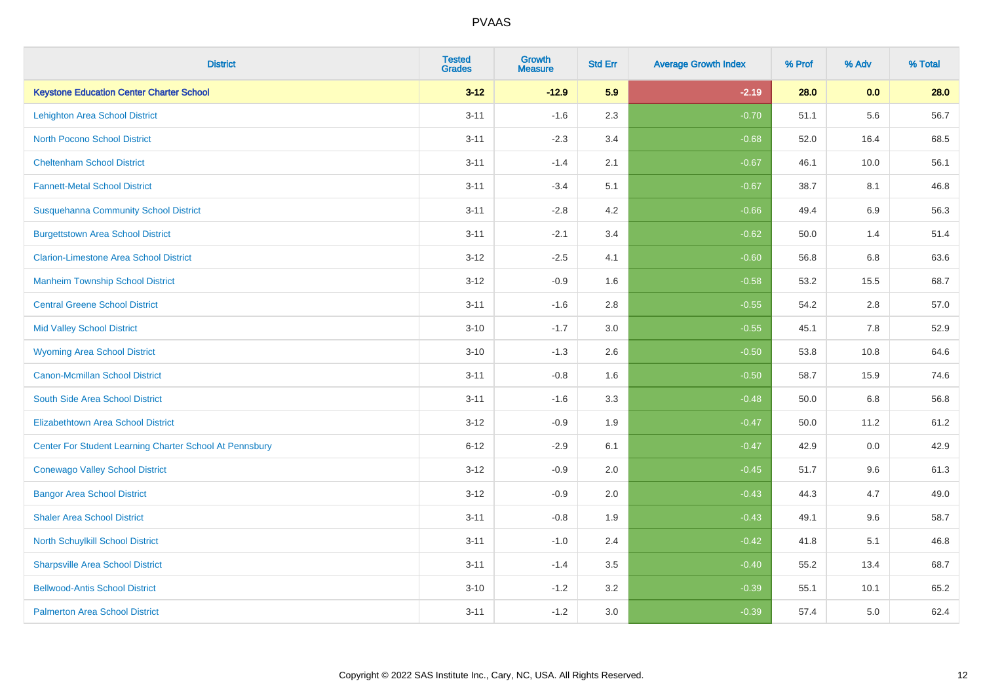| <b>District</b>                                         | <b>Tested</b><br><b>Grades</b> | <b>Growth</b><br><b>Measure</b> | <b>Std Err</b> | <b>Average Growth Index</b> | % Prof | % Adv   | % Total |
|---------------------------------------------------------|--------------------------------|---------------------------------|----------------|-----------------------------|--------|---------|---------|
| <b>Keystone Education Center Charter School</b>         | $3 - 12$                       | $-12.9$                         | 5.9            | $-2.19$                     | 28.0   | 0.0     | 28.0    |
| <b>Lehighton Area School District</b>                   | $3 - 11$                       | $-1.6$                          | 2.3            | $-0.70$                     | 51.1   | 5.6     | 56.7    |
| <b>North Pocono School District</b>                     | $3 - 11$                       | $-2.3$                          | 3.4            | $-0.68$                     | 52.0   | 16.4    | 68.5    |
| <b>Cheltenham School District</b>                       | $3 - 11$                       | $-1.4$                          | 2.1            | $-0.67$                     | 46.1   | 10.0    | 56.1    |
| <b>Fannett-Metal School District</b>                    | $3 - 11$                       | $-3.4$                          | 5.1            | $-0.67$                     | 38.7   | 8.1     | 46.8    |
| <b>Susquehanna Community School District</b>            | $3 - 11$                       | $-2.8$                          | 4.2            | $-0.66$                     | 49.4   | 6.9     | 56.3    |
| <b>Burgettstown Area School District</b>                | $3 - 11$                       | $-2.1$                          | 3.4            | $-0.62$                     | 50.0   | 1.4     | 51.4    |
| <b>Clarion-Limestone Area School District</b>           | $3 - 12$                       | $-2.5$                          | 4.1            | $-0.60$                     | 56.8   | 6.8     | 63.6    |
| <b>Manheim Township School District</b>                 | $3 - 12$                       | $-0.9$                          | 1.6            | $-0.58$                     | 53.2   | 15.5    | 68.7    |
| <b>Central Greene School District</b>                   | $3 - 11$                       | $-1.6$                          | 2.8            | $-0.55$                     | 54.2   | $2.8\,$ | 57.0    |
| <b>Mid Valley School District</b>                       | $3 - 10$                       | $-1.7$                          | 3.0            | $-0.55$                     | 45.1   | 7.8     | 52.9    |
| <b>Wyoming Area School District</b>                     | $3 - 10$                       | $-1.3$                          | 2.6            | $-0.50$                     | 53.8   | 10.8    | 64.6    |
| <b>Canon-Mcmillan School District</b>                   | $3 - 11$                       | $-0.8$                          | 1.6            | $-0.50$                     | 58.7   | 15.9    | 74.6    |
| South Side Area School District                         | $3 - 11$                       | $-1.6$                          | 3.3            | $-0.48$                     | 50.0   | 6.8     | 56.8    |
| <b>Elizabethtown Area School District</b>               | $3 - 12$                       | $-0.9$                          | 1.9            | $-0.47$                     | 50.0   | 11.2    | 61.2    |
| Center For Student Learning Charter School At Pennsbury | $6 - 12$                       | $-2.9$                          | 6.1            | $-0.47$                     | 42.9   | 0.0     | 42.9    |
| <b>Conewago Valley School District</b>                  | $3 - 12$                       | $-0.9$                          | 2.0            | $-0.45$                     | 51.7   | 9.6     | 61.3    |
| <b>Bangor Area School District</b>                      | $3 - 12$                       | $-0.9$                          | 2.0            | $-0.43$                     | 44.3   | 4.7     | 49.0    |
| <b>Shaler Area School District</b>                      | $3 - 11$                       | $-0.8$                          | 1.9            | $-0.43$                     | 49.1   | 9.6     | 58.7    |
| North Schuylkill School District                        | $3 - 11$                       | $-1.0$                          | 2.4            | $-0.42$                     | 41.8   | 5.1     | 46.8    |
| <b>Sharpsville Area School District</b>                 | $3 - 11$                       | $-1.4$                          | 3.5            | $-0.40$                     | 55.2   | 13.4    | 68.7    |
| <b>Bellwood-Antis School District</b>                   | $3 - 10$                       | $-1.2$                          | 3.2            | $-0.39$                     | 55.1   | 10.1    | 65.2    |
| <b>Palmerton Area School District</b>                   | $3 - 11$                       | $-1.2$                          | 3.0            | $-0.39$                     | 57.4   | 5.0     | 62.4    |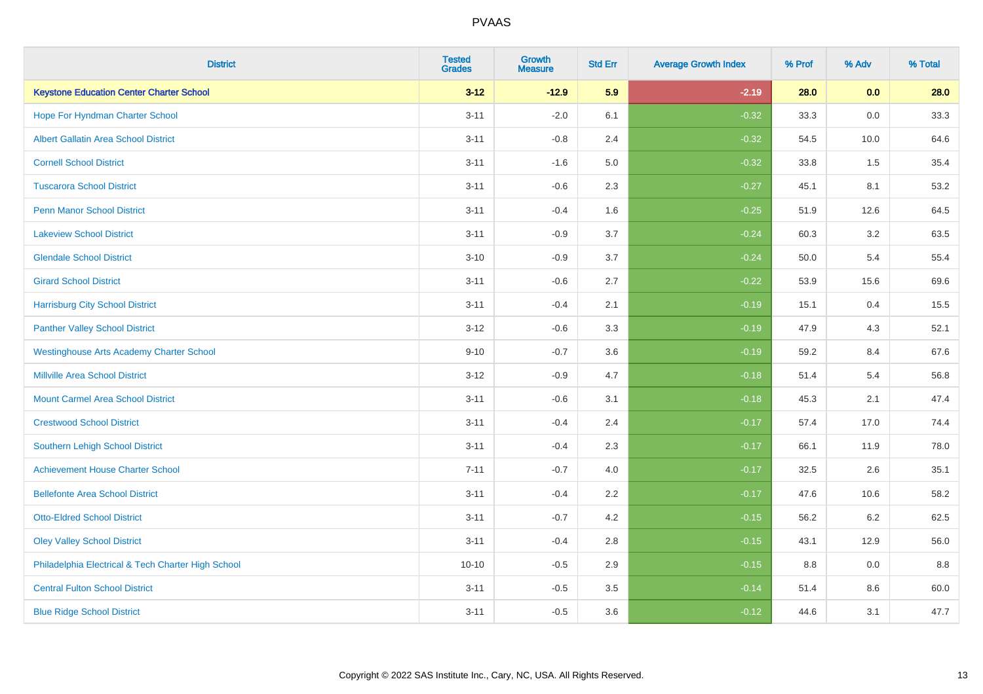| <b>District</b>                                    | <b>Tested</b><br><b>Grades</b> | <b>Growth</b><br><b>Measure</b> | <b>Std Err</b> | <b>Average Growth Index</b> | % Prof | % Adv   | % Total |
|----------------------------------------------------|--------------------------------|---------------------------------|----------------|-----------------------------|--------|---------|---------|
| <b>Keystone Education Center Charter School</b>    | $3 - 12$                       | $-12.9$                         | 5.9            | $-2.19$                     | 28.0   | 0.0     | 28.0    |
| Hope For Hyndman Charter School                    | $3 - 11$                       | $-2.0$                          | 6.1            | $-0.32$                     | 33.3   | 0.0     | 33.3    |
| <b>Albert Gallatin Area School District</b>        | $3 - 11$                       | $-0.8$                          | 2.4            | $-0.32$                     | 54.5   | 10.0    | 64.6    |
| <b>Cornell School District</b>                     | $3 - 11$                       | $-1.6$                          | 5.0            | $-0.32$                     | 33.8   | 1.5     | 35.4    |
| <b>Tuscarora School District</b>                   | $3 - 11$                       | $-0.6$                          | 2.3            | $-0.27$                     | 45.1   | 8.1     | 53.2    |
| <b>Penn Manor School District</b>                  | $3 - 11$                       | $-0.4$                          | 1.6            | $-0.25$                     | 51.9   | 12.6    | 64.5    |
| <b>Lakeview School District</b>                    | $3 - 11$                       | $-0.9$                          | 3.7            | $-0.24$                     | 60.3   | 3.2     | 63.5    |
| <b>Glendale School District</b>                    | $3 - 10$                       | $-0.9$                          | 3.7            | $-0.24$                     | 50.0   | 5.4     | 55.4    |
| <b>Girard School District</b>                      | $3 - 11$                       | $-0.6$                          | 2.7            | $-0.22$                     | 53.9   | 15.6    | 69.6    |
| <b>Harrisburg City School District</b>             | $3 - 11$                       | $-0.4$                          | 2.1            | $-0.19$                     | 15.1   | 0.4     | 15.5    |
| <b>Panther Valley School District</b>              | $3 - 12$                       | $-0.6$                          | 3.3            | $-0.19$                     | 47.9   | 4.3     | 52.1    |
| <b>Westinghouse Arts Academy Charter School</b>    | $9 - 10$                       | $-0.7$                          | 3.6            | $-0.19$                     | 59.2   | 8.4     | 67.6    |
| <b>Millville Area School District</b>              | $3 - 12$                       | $-0.9$                          | 4.7            | $-0.18$                     | 51.4   | 5.4     | 56.8    |
| <b>Mount Carmel Area School District</b>           | $3 - 11$                       | $-0.6$                          | 3.1            | $-0.18$                     | 45.3   | 2.1     | 47.4    |
| <b>Crestwood School District</b>                   | $3 - 11$                       | $-0.4$                          | 2.4            | $-0.17$                     | 57.4   | 17.0    | 74.4    |
| <b>Southern Lehigh School District</b>             | $3 - 11$                       | $-0.4$                          | 2.3            | $-0.17$                     | 66.1   | 11.9    | 78.0    |
| <b>Achievement House Charter School</b>            | $7 - 11$                       | $-0.7$                          | 4.0            | $-0.17$                     | 32.5   | $2.6\,$ | 35.1    |
| <b>Bellefonte Area School District</b>             | $3 - 11$                       | $-0.4$                          | 2.2            | $-0.17$                     | 47.6   | 10.6    | 58.2    |
| <b>Otto-Eldred School District</b>                 | $3 - 11$                       | $-0.7$                          | 4.2            | $-0.15$                     | 56.2   | $6.2\,$ | 62.5    |
| <b>Oley Valley School District</b>                 | $3 - 11$                       | $-0.4$                          | 2.8            | $-0.15$                     | 43.1   | 12.9    | 56.0    |
| Philadelphia Electrical & Tech Charter High School | $10 - 10$                      | $-0.5$                          | 2.9            | $-0.15$                     | 8.8    | 0.0     | 8.8     |
| <b>Central Fulton School District</b>              | $3 - 11$                       | $-0.5$                          | 3.5            | $-0.14$                     | 51.4   | 8.6     | 60.0    |
| <b>Blue Ridge School District</b>                  | $3 - 11$                       | $-0.5$                          | 3.6            | $-0.12$                     | 44.6   | 3.1     | 47.7    |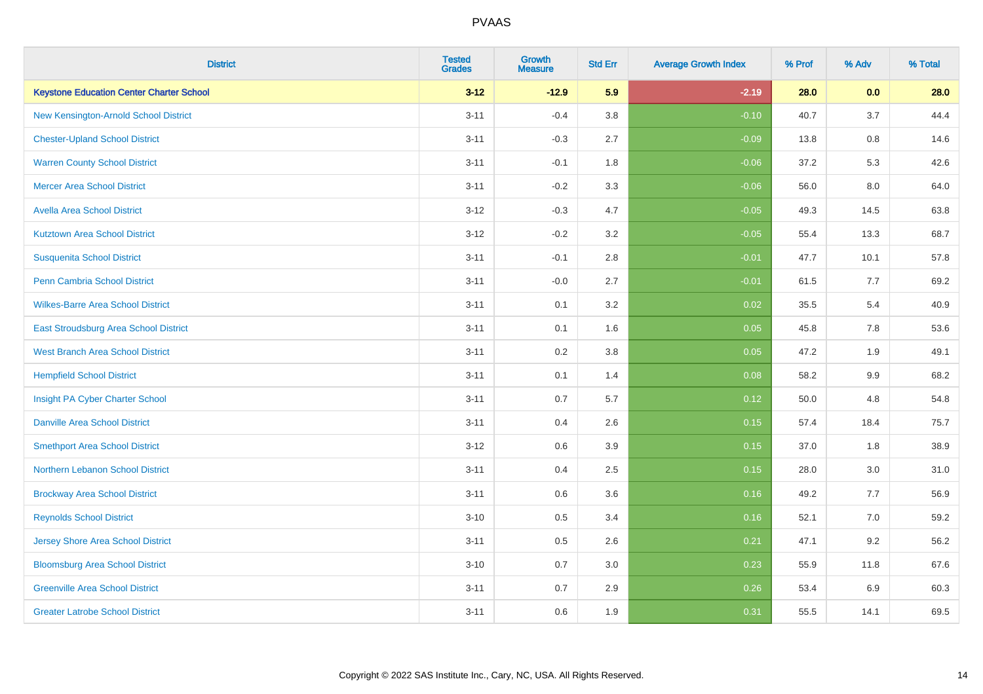| <b>District</b>                                 | <b>Tested</b><br><b>Grades</b> | <b>Growth</b><br><b>Measure</b> | <b>Std Err</b> | <b>Average Growth Index</b> | % Prof | % Adv   | % Total |
|-------------------------------------------------|--------------------------------|---------------------------------|----------------|-----------------------------|--------|---------|---------|
| <b>Keystone Education Center Charter School</b> | $3 - 12$                       | $-12.9$                         | 5.9            | $-2.19$                     | 28.0   | 0.0     | 28.0    |
| New Kensington-Arnold School District           | $3 - 11$                       | $-0.4$                          | $3.8\,$        | $-0.10$                     | 40.7   | 3.7     | 44.4    |
| <b>Chester-Upland School District</b>           | $3 - 11$                       | $-0.3$                          | 2.7            | $-0.09$                     | 13.8   | 0.8     | 14.6    |
| <b>Warren County School District</b>            | $3 - 11$                       | $-0.1$                          | 1.8            | $-0.06$                     | 37.2   | 5.3     | 42.6    |
| <b>Mercer Area School District</b>              | $3 - 11$                       | $-0.2$                          | 3.3            | $-0.06$                     | 56.0   | 8.0     | 64.0    |
| <b>Avella Area School District</b>              | $3 - 12$                       | $-0.3$                          | 4.7            | $-0.05$                     | 49.3   | 14.5    | 63.8    |
| <b>Kutztown Area School District</b>            | $3 - 12$                       | $-0.2$                          | 3.2            | $-0.05$                     | 55.4   | 13.3    | 68.7    |
| <b>Susquenita School District</b>               | $3 - 11$                       | $-0.1$                          | 2.8            | $-0.01$                     | 47.7   | 10.1    | 57.8    |
| Penn Cambria School District                    | $3 - 11$                       | $-0.0$                          | 2.7            | $-0.01$                     | 61.5   | 7.7     | 69.2    |
| <b>Wilkes-Barre Area School District</b>        | $3 - 11$                       | 0.1                             | 3.2            | 0.02                        | 35.5   | 5.4     | 40.9    |
| East Stroudsburg Area School District           | $3 - 11$                       | 0.1                             | 1.6            | 0.05                        | 45.8   | 7.8     | 53.6    |
| <b>West Branch Area School District</b>         | $3 - 11$                       | 0.2                             | 3.8            | 0.05                        | 47.2   | 1.9     | 49.1    |
| <b>Hempfield School District</b>                | $3 - 11$                       | 0.1                             | 1.4            | 0.08                        | 58.2   | $9.9\,$ | 68.2    |
| Insight PA Cyber Charter School                 | $3 - 11$                       | 0.7                             | 5.7            | 0.12                        | 50.0   | 4.8     | 54.8    |
| <b>Danville Area School District</b>            | $3 - 11$                       | 0.4                             | 2.6            | 0.15                        | 57.4   | 18.4    | 75.7    |
| <b>Smethport Area School District</b>           | $3 - 12$                       | 0.6                             | 3.9            | 0.15                        | 37.0   | 1.8     | 38.9    |
| <b>Northern Lebanon School District</b>         | $3 - 11$                       | 0.4                             | 2.5            | 0.15                        | 28.0   | 3.0     | 31.0    |
| <b>Brockway Area School District</b>            | $3 - 11$                       | 0.6                             | 3.6            | 0.16                        | 49.2   | 7.7     | 56.9    |
| <b>Reynolds School District</b>                 | $3 - 10$                       | 0.5                             | 3.4            | 0.16                        | 52.1   | 7.0     | 59.2    |
| Jersey Shore Area School District               | $3 - 11$                       | 0.5                             | 2.6            | 0.21                        | 47.1   | 9.2     | 56.2    |
| <b>Bloomsburg Area School District</b>          | $3 - 10$                       | 0.7                             | 3.0            | 0.23                        | 55.9   | 11.8    | 67.6    |
| <b>Greenville Area School District</b>          | $3 - 11$                       | 0.7                             | 2.9            | 0.26                        | 53.4   | 6.9     | 60.3    |
| <b>Greater Latrobe School District</b>          | $3 - 11$                       | 0.6                             | 1.9            | 0.31                        | 55.5   | 14.1    | 69.5    |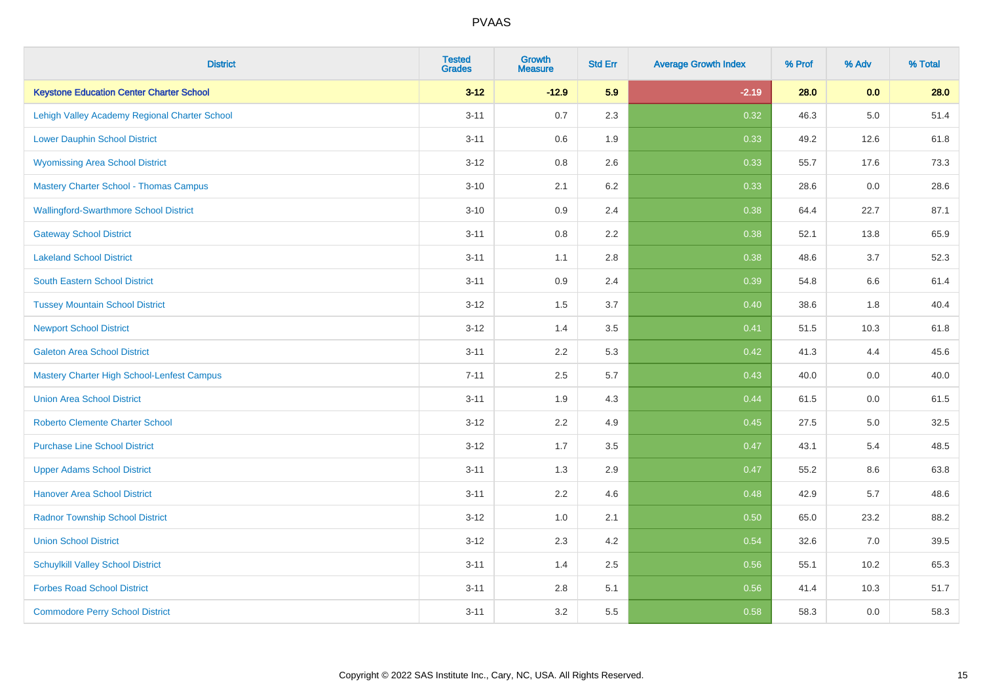| <b>District</b>                                   | <b>Tested</b><br><b>Grades</b> | <b>Growth</b><br><b>Measure</b> | <b>Std Err</b> | <b>Average Growth Index</b> | % Prof | % Adv   | % Total |
|---------------------------------------------------|--------------------------------|---------------------------------|----------------|-----------------------------|--------|---------|---------|
| <b>Keystone Education Center Charter School</b>   | $3 - 12$                       | $-12.9$                         | 5.9            | $-2.19$                     | 28.0   | 0.0     | 28.0    |
| Lehigh Valley Academy Regional Charter School     | $3 - 11$                       | 0.7                             | 2.3            | 0.32                        | 46.3   | $5.0\,$ | 51.4    |
| <b>Lower Dauphin School District</b>              | $3 - 11$                       | 0.6                             | 1.9            | 0.33                        | 49.2   | 12.6    | 61.8    |
| <b>Wyomissing Area School District</b>            | $3 - 12$                       | 0.8                             | 2.6            | 0.33                        | 55.7   | 17.6    | 73.3    |
| <b>Mastery Charter School - Thomas Campus</b>     | $3 - 10$                       | 2.1                             | 6.2            | 0.33                        | 28.6   | 0.0     | 28.6    |
| <b>Wallingford-Swarthmore School District</b>     | $3 - 10$                       | 0.9                             | 2.4            | 0.38                        | 64.4   | 22.7    | 87.1    |
| <b>Gateway School District</b>                    | $3 - 11$                       | 0.8                             | 2.2            | 0.38                        | 52.1   | 13.8    | 65.9    |
| <b>Lakeland School District</b>                   | $3 - 11$                       | 1.1                             | 2.8            | 0.38                        | 48.6   | 3.7     | 52.3    |
| <b>South Eastern School District</b>              | $3 - 11$                       | 0.9                             | 2.4            | 0.39                        | 54.8   | 6.6     | 61.4    |
| <b>Tussey Mountain School District</b>            | $3 - 12$                       | 1.5                             | 3.7            | 0.40                        | 38.6   | 1.8     | 40.4    |
| <b>Newport School District</b>                    | $3 - 12$                       | 1.4                             | 3.5            | 0.41                        | 51.5   | 10.3    | 61.8    |
| <b>Galeton Area School District</b>               | $3 - 11$                       | 2.2                             | 5.3            | 0.42                        | 41.3   | 4.4     | 45.6    |
| <b>Mastery Charter High School-Lenfest Campus</b> | $7 - 11$                       | 2.5                             | 5.7            | 0.43                        | 40.0   | $0.0\,$ | 40.0    |
| <b>Union Area School District</b>                 | $3 - 11$                       | 1.9                             | 4.3            | 0.44                        | 61.5   | 0.0     | 61.5    |
| <b>Roberto Clemente Charter School</b>            | $3 - 12$                       | 2.2                             | 4.9            | 0.45                        | 27.5   | $5.0\,$ | 32.5    |
| <b>Purchase Line School District</b>              | $3 - 12$                       | 1.7                             | 3.5            | 0.47                        | 43.1   | 5.4     | 48.5    |
| <b>Upper Adams School District</b>                | $3 - 11$                       | 1.3                             | 2.9            | 0.47                        | 55.2   | 8.6     | 63.8    |
| <b>Hanover Area School District</b>               | $3 - 11$                       | 2.2                             | 4.6            | 0.48                        | 42.9   | 5.7     | 48.6    |
| <b>Radnor Township School District</b>            | $3 - 12$                       | 1.0                             | 2.1            | 0.50                        | 65.0   | 23.2    | 88.2    |
| <b>Union School District</b>                      | $3 - 12$                       | 2.3                             | 4.2            | 0.54                        | 32.6   | 7.0     | 39.5    |
| <b>Schuylkill Valley School District</b>          | $3 - 11$                       | 1.4                             | 2.5            | 0.56                        | 55.1   | 10.2    | 65.3    |
| <b>Forbes Road School District</b>                | $3 - 11$                       | $2.8\,$                         | 5.1            | 0.56                        | 41.4   | 10.3    | 51.7    |
| <b>Commodore Perry School District</b>            | $3 - 11$                       | 3.2                             | 5.5            | 0.58                        | 58.3   | 0.0     | 58.3    |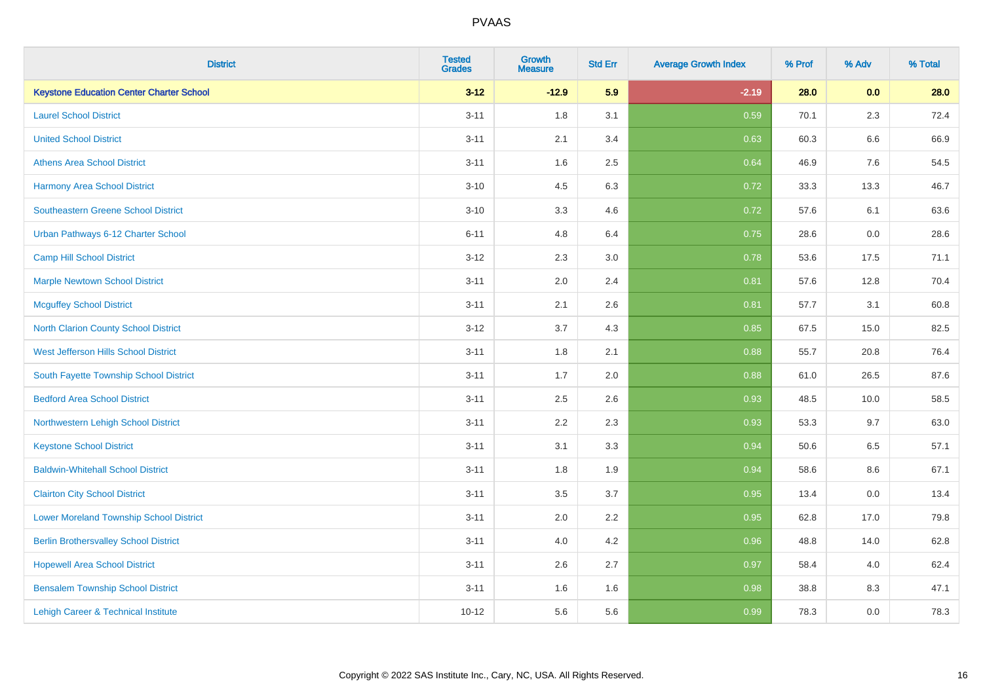| <b>District</b>                                 | <b>Tested</b><br><b>Grades</b> | <b>Growth</b><br><b>Measure</b> | <b>Std Err</b> | <b>Average Growth Index</b> | % Prof | % Adv   | % Total |
|-------------------------------------------------|--------------------------------|---------------------------------|----------------|-----------------------------|--------|---------|---------|
| <b>Keystone Education Center Charter School</b> | $3 - 12$                       | $-12.9$                         | 5.9            | $-2.19$                     | 28.0   | 0.0     | 28.0    |
| <b>Laurel School District</b>                   | $3 - 11$                       | 1.8                             | 3.1            | 0.59                        | 70.1   | 2.3     | 72.4    |
| <b>United School District</b>                   | $3 - 11$                       | 2.1                             | 3.4            | 0.63                        | 60.3   | 6.6     | 66.9    |
| <b>Athens Area School District</b>              | $3 - 11$                       | 1.6                             | 2.5            | 0.64                        | 46.9   | 7.6     | 54.5    |
| <b>Harmony Area School District</b>             | $3 - 10$                       | 4.5                             | 6.3            | 0.72                        | 33.3   | 13.3    | 46.7    |
| <b>Southeastern Greene School District</b>      | $3 - 10$                       | 3.3                             | 4.6            | 0.72                        | 57.6   | 6.1     | 63.6    |
| Urban Pathways 6-12 Charter School              | $6 - 11$                       | 4.8                             | 6.4            | 0.75                        | 28.6   | $0.0\,$ | 28.6    |
| <b>Camp Hill School District</b>                | $3 - 12$                       | 2.3                             | 3.0            | 0.78                        | 53.6   | 17.5    | 71.1    |
| <b>Marple Newtown School District</b>           | $3 - 11$                       | 2.0                             | 2.4            | 0.81                        | 57.6   | 12.8    | 70.4    |
| <b>Mcguffey School District</b>                 | $3 - 11$                       | 2.1                             | 2.6            | 0.81                        | 57.7   | 3.1     | 60.8    |
| North Clarion County School District            | $3 - 12$                       | 3.7                             | 4.3            | 0.85                        | 67.5   | 15.0    | 82.5    |
| West Jefferson Hills School District            | $3 - 11$                       | 1.8                             | 2.1            | 0.88                        | 55.7   | 20.8    | 76.4    |
| South Fayette Township School District          | $3 - 11$                       | 1.7                             | 2.0            | 0.88                        | 61.0   | 26.5    | 87.6    |
| <b>Bedford Area School District</b>             | $3 - 11$                       | 2.5                             | 2.6            | 0.93                        | 48.5   | 10.0    | 58.5    |
| Northwestern Lehigh School District             | $3 - 11$                       | 2.2                             | 2.3            | 0.93                        | 53.3   | 9.7     | 63.0    |
| <b>Keystone School District</b>                 | $3 - 11$                       | 3.1                             | 3.3            | 0.94                        | 50.6   | 6.5     | 57.1    |
| <b>Baldwin-Whitehall School District</b>        | $3 - 11$                       | 1.8                             | 1.9            | 0.94                        | 58.6   | 8.6     | 67.1    |
| <b>Clairton City School District</b>            | $3 - 11$                       | 3.5                             | 3.7            | 0.95                        | 13.4   | 0.0     | 13.4    |
| <b>Lower Moreland Township School District</b>  | $3 - 11$                       | 2.0                             | 2.2            | 0.95                        | 62.8   | 17.0    | 79.8    |
| <b>Berlin Brothersvalley School District</b>    | $3 - 11$                       | 4.0                             | 4.2            | 0.96                        | 48.8   | 14.0    | 62.8    |
| <b>Hopewell Area School District</b>            | $3 - 11$                       | 2.6                             | 2.7            | 0.97                        | 58.4   | 4.0     | 62.4    |
| <b>Bensalem Township School District</b>        | $3 - 11$                       | 1.6                             | 1.6            | 0.98                        | 38.8   | 8.3     | 47.1    |
| Lehigh Career & Technical Institute             | $10 - 12$                      | 5.6                             | 5.6            | 0.99                        | 78.3   | 0.0     | 78.3    |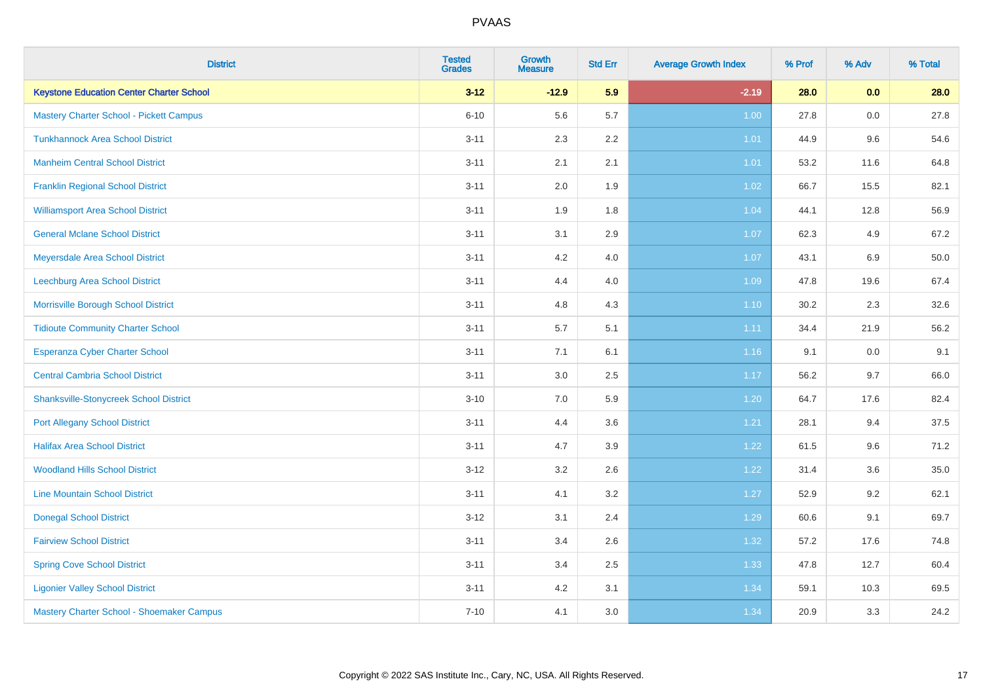| <b>District</b>                                 | <b>Tested</b><br><b>Grades</b> | <b>Growth</b><br><b>Measure</b> | <b>Std Err</b> | <b>Average Growth Index</b> | % Prof | % Adv   | % Total |
|-------------------------------------------------|--------------------------------|---------------------------------|----------------|-----------------------------|--------|---------|---------|
| <b>Keystone Education Center Charter School</b> | $3 - 12$                       | $-12.9$                         | 5.9            | $-2.19$                     | 28.0   | 0.0     | 28.0    |
| Mastery Charter School - Pickett Campus         | $6 - 10$                       | 5.6                             | 5.7            | 1.00                        | 27.8   | $0.0\,$ | 27.8    |
| <b>Tunkhannock Area School District</b>         | $3 - 11$                       | 2.3                             | 2.2            | 1.01                        | 44.9   | 9.6     | 54.6    |
| <b>Manheim Central School District</b>          | $3 - 11$                       | 2.1                             | 2.1            | 1.01                        | 53.2   | 11.6    | 64.8    |
| <b>Franklin Regional School District</b>        | $3 - 11$                       | 2.0                             | 1.9            | $1.02$                      | 66.7   | 15.5    | 82.1    |
| <b>Williamsport Area School District</b>        | $3 - 11$                       | 1.9                             | 1.8            | 1.04                        | 44.1   | 12.8    | 56.9    |
| <b>General Mclane School District</b>           | $3 - 11$                       | 3.1                             | 2.9            | 1.07                        | 62.3   | 4.9     | 67.2    |
| Meyersdale Area School District                 | $3 - 11$                       | 4.2                             | 4.0            | 1.07                        | 43.1   | 6.9     | 50.0    |
| Leechburg Area School District                  | $3 - 11$                       | 4.4                             | 4.0            | 1.09                        | 47.8   | 19.6    | 67.4    |
| Morrisville Borough School District             | $3 - 11$                       | 4.8                             | 4.3            | $1.10$                      | 30.2   | 2.3     | 32.6    |
| <b>Tidioute Community Charter School</b>        | $3 - 11$                       | 5.7                             | 5.1            | 1.11                        | 34.4   | 21.9    | 56.2    |
| <b>Esperanza Cyber Charter School</b>           | $3 - 11$                       | 7.1                             | 6.1            | 1.16                        | 9.1    | $0.0\,$ | 9.1     |
| <b>Central Cambria School District</b>          | $3 - 11$                       | 3.0                             | 2.5            | 1.17                        | 56.2   | 9.7     | 66.0    |
| <b>Shanksville-Stonycreek School District</b>   | $3 - 10$                       | 7.0                             | 5.9            | 1.20                        | 64.7   | 17.6    | 82.4    |
| <b>Port Allegany School District</b>            | $3 - 11$                       | 4.4                             | 3.6            | 1.21                        | 28.1   | 9.4     | 37.5    |
| <b>Halifax Area School District</b>             | $3 - 11$                       | 4.7                             | 3.9            | 1.22                        | 61.5   | 9.6     | 71.2    |
| <b>Woodland Hills School District</b>           | $3 - 12$                       | 3.2                             | 2.6            | 1.22                        | 31.4   | 3.6     | 35.0    |
| <b>Line Mountain School District</b>            | $3 - 11$                       | 4.1                             | 3.2            | 1.27                        | 52.9   | 9.2     | 62.1    |
| <b>Donegal School District</b>                  | $3-12$                         | 3.1                             | 2.4            | 1.29                        | 60.6   | 9.1     | 69.7    |
| <b>Fairview School District</b>                 | $3 - 11$                       | 3.4                             | 2.6            | 1.32                        | 57.2   | 17.6    | 74.8    |
| <b>Spring Cove School District</b>              | $3 - 11$                       | 3.4                             | 2.5            | 1.33                        | 47.8   | 12.7    | 60.4    |
| <b>Ligonier Valley School District</b>          | $3 - 11$                       | 4.2                             | 3.1            | 1.34                        | 59.1   | 10.3    | 69.5    |
| Mastery Charter School - Shoemaker Campus       | $7 - 10$                       | 4.1                             | 3.0            | 1.34                        | 20.9   | 3.3     | 24.2    |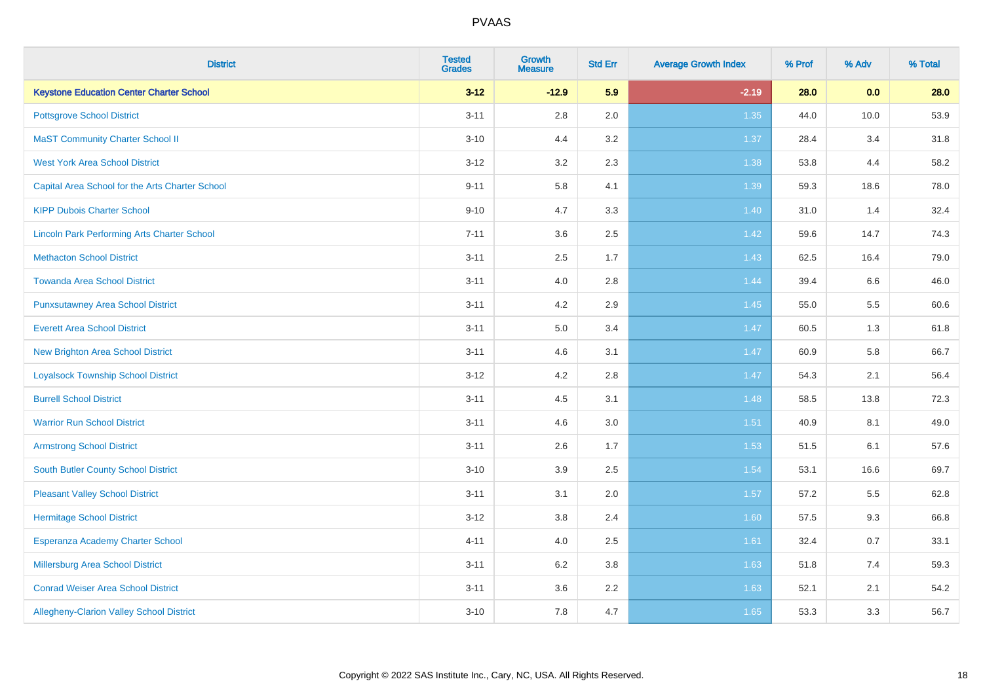| <b>District</b>                                    | <b>Tested</b><br><b>Grades</b> | <b>Growth</b><br><b>Measure</b> | <b>Std Err</b> | <b>Average Growth Index</b> | % Prof | % Adv | % Total |
|----------------------------------------------------|--------------------------------|---------------------------------|----------------|-----------------------------|--------|-------|---------|
| <b>Keystone Education Center Charter School</b>    | $3 - 12$                       | $-12.9$                         | 5.9            | $-2.19$                     | 28.0   | 0.0   | 28.0    |
| <b>Pottsgrove School District</b>                  | $3 - 11$                       | $2.8\,$                         | 2.0            | 1.35                        | 44.0   | 10.0  | 53.9    |
| <b>MaST Community Charter School II</b>            | $3 - 10$                       | 4.4                             | 3.2            | 1.37                        | 28.4   | 3.4   | 31.8    |
| <b>West York Area School District</b>              | $3 - 12$                       | 3.2                             | 2.3            | 1.38                        | 53.8   | 4.4   | 58.2    |
| Capital Area School for the Arts Charter School    | $9 - 11$                       | 5.8                             | 4.1            | 1.39                        | 59.3   | 18.6  | 78.0    |
| <b>KIPP Dubois Charter School</b>                  | $9 - 10$                       | 4.7                             | 3.3            | 1.40                        | 31.0   | 1.4   | 32.4    |
| <b>Lincoln Park Performing Arts Charter School</b> | $7 - 11$                       | 3.6                             | 2.5            | 1.42                        | 59.6   | 14.7  | 74.3    |
| <b>Methacton School District</b>                   | $3 - 11$                       | 2.5                             | 1.7            | 1.43                        | 62.5   | 16.4  | 79.0    |
| <b>Towanda Area School District</b>                | $3 - 11$                       | 4.0                             | 2.8            | 1.44                        | 39.4   | 6.6   | 46.0    |
| <b>Punxsutawney Area School District</b>           | $3 - 11$                       | 4.2                             | 2.9            | 1.45                        | 55.0   | 5.5   | 60.6    |
| <b>Everett Area School District</b>                | $3 - 11$                       | 5.0                             | 3.4            | 1.47                        | 60.5   | 1.3   | 61.8    |
| <b>New Brighton Area School District</b>           | $3 - 11$                       | 4.6                             | 3.1            | $1.47$                      | 60.9   | 5.8   | 66.7    |
| <b>Loyalsock Township School District</b>          | $3 - 12$                       | 4.2                             | 2.8            | 1.47                        | 54.3   | 2.1   | 56.4    |
| <b>Burrell School District</b>                     | $3 - 11$                       | 4.5                             | 3.1            | 1.48                        | 58.5   | 13.8  | 72.3    |
| <b>Warrior Run School District</b>                 | $3 - 11$                       | 4.6                             | 3.0            | 1.51                        | 40.9   | 8.1   | 49.0    |
| <b>Armstrong School District</b>                   | $3 - 11$                       | 2.6                             | 1.7            | 1.53                        | 51.5   | 6.1   | 57.6    |
| <b>South Butler County School District</b>         | $3 - 10$                       | 3.9                             | 2.5            | 1.54                        | 53.1   | 16.6  | 69.7    |
| <b>Pleasant Valley School District</b>             | $3 - 11$                       | 3.1                             | 2.0            | 1.57                        | 57.2   | 5.5   | 62.8    |
| <b>Hermitage School District</b>                   | $3 - 12$                       | $3.8\,$                         | 2.4            | 1.60                        | 57.5   | 9.3   | 66.8    |
| Esperanza Academy Charter School                   | $4 - 11$                       | 4.0                             | 2.5            | 1.61                        | 32.4   | 0.7   | 33.1    |
| <b>Millersburg Area School District</b>            | $3 - 11$                       | 6.2                             | 3.8            | 1.63                        | 51.8   | 7.4   | 59.3    |
| <b>Conrad Weiser Area School District</b>          | $3 - 11$                       | 3.6                             | 2.2            | 1.63                        | 52.1   | 2.1   | 54.2    |
| Allegheny-Clarion Valley School District           | $3 - 10$                       | 7.8                             | 4.7            | 1.65                        | 53.3   | 3.3   | 56.7    |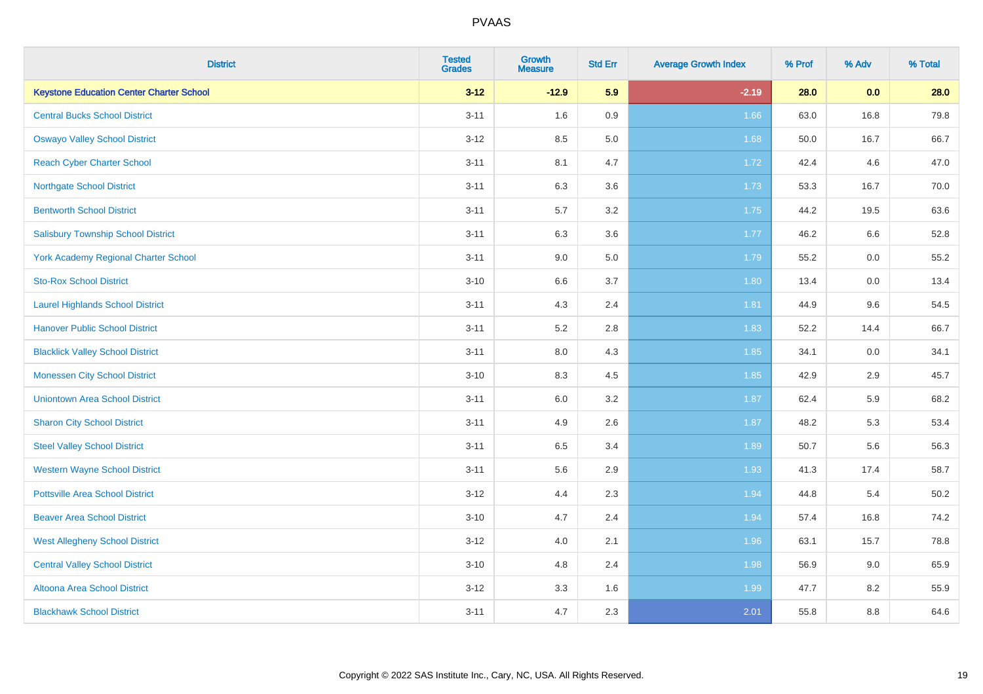| <b>District</b>                                 | <b>Tested</b><br><b>Grades</b> | <b>Growth</b><br><b>Measure</b> | <b>Std Err</b> | <b>Average Growth Index</b> | % Prof | % Adv | % Total |
|-------------------------------------------------|--------------------------------|---------------------------------|----------------|-----------------------------|--------|-------|---------|
| <b>Keystone Education Center Charter School</b> | $3 - 12$                       | $-12.9$                         | 5.9            | $-2.19$                     | 28.0   | 0.0   | 28.0    |
| <b>Central Bucks School District</b>            | $3 - 11$                       | 1.6                             | 0.9            | 1.66                        | 63.0   | 16.8  | 79.8    |
| <b>Oswayo Valley School District</b>            | $3 - 12$                       | 8.5                             | 5.0            | 1.68                        | 50.0   | 16.7  | 66.7    |
| <b>Reach Cyber Charter School</b>               | $3 - 11$                       | 8.1                             | 4.7            | 1.72                        | 42.4   | 4.6   | 47.0    |
| <b>Northgate School District</b>                | $3 - 11$                       | 6.3                             | 3.6            | 1.73                        | 53.3   | 16.7  | 70.0    |
| <b>Bentworth School District</b>                | $3 - 11$                       | 5.7                             | 3.2            | 1.75                        | 44.2   | 19.5  | 63.6    |
| <b>Salisbury Township School District</b>       | $3 - 11$                       | 6.3                             | 3.6            | 1.77                        | 46.2   | 6.6   | 52.8    |
| York Academy Regional Charter School            | $3 - 11$                       | 9.0                             | 5.0            | 1.79                        | 55.2   | 0.0   | 55.2    |
| <b>Sto-Rox School District</b>                  | $3 - 10$                       | $6.6\,$                         | 3.7            | 1.80                        | 13.4   | 0.0   | 13.4    |
| <b>Laurel Highlands School District</b>         | $3 - 11$                       | 4.3                             | 2.4            | 1.81                        | 44.9   | 9.6   | 54.5    |
| <b>Hanover Public School District</b>           | $3 - 11$                       | 5.2                             | 2.8            | 1.83                        | 52.2   | 14.4  | 66.7    |
| <b>Blacklick Valley School District</b>         | $3 - 11$                       | 8.0                             | 4.3            | 1.85                        | 34.1   | 0.0   | 34.1    |
| <b>Monessen City School District</b>            | $3 - 10$                       | 8.3                             | 4.5            | 1.85                        | 42.9   | 2.9   | 45.7    |
| <b>Uniontown Area School District</b>           | $3 - 11$                       | 6.0                             | 3.2            | 1.87                        | 62.4   | 5.9   | 68.2    |
| <b>Sharon City School District</b>              | $3 - 11$                       | 4.9                             | 2.6            | 1.87                        | 48.2   | 5.3   | 53.4    |
| <b>Steel Valley School District</b>             | $3 - 11$                       | 6.5                             | 3.4            | 1.89                        | 50.7   | 5.6   | 56.3    |
| <b>Western Wayne School District</b>            | $3 - 11$                       | 5.6                             | 2.9            | 1.93                        | 41.3   | 17.4  | 58.7    |
| <b>Pottsville Area School District</b>          | $3 - 12$                       | 4.4                             | 2.3            | 1.94                        | 44.8   | 5.4   | 50.2    |
| <b>Beaver Area School District</b>              | $3 - 10$                       | 4.7                             | 2.4            | 1.94                        | 57.4   | 16.8  | 74.2    |
| <b>West Allegheny School District</b>           | $3 - 12$                       | 4.0                             | 2.1            | 1.96                        | 63.1   | 15.7  | 78.8    |
| <b>Central Valley School District</b>           | $3 - 10$                       | 4.8                             | 2.4            | 1.98                        | 56.9   | 9.0   | 65.9    |
| Altoona Area School District                    | $3 - 12$                       | 3.3                             | 1.6            | 1.99                        | 47.7   | 8.2   | 55.9    |
| <b>Blackhawk School District</b>                | $3 - 11$                       | 4.7                             | 2.3            | 2.01                        | 55.8   | 8.8   | 64.6    |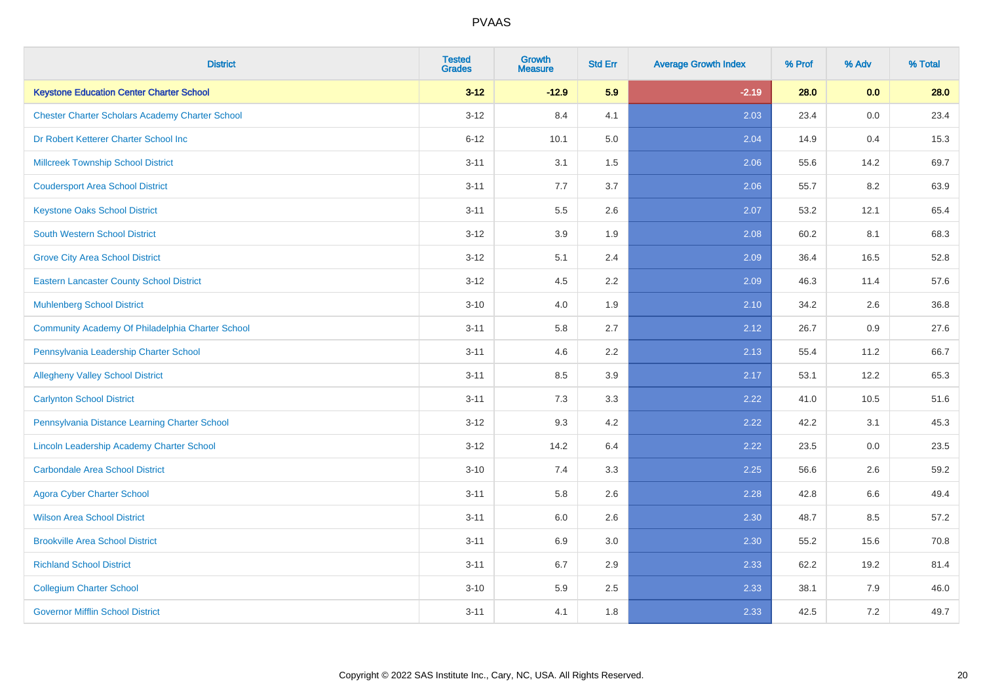| <b>District</b>                                        | <b>Tested</b><br><b>Grades</b> | <b>Growth</b><br><b>Measure</b> | <b>Std Err</b> | <b>Average Growth Index</b> | % Prof | % Adv   | % Total |
|--------------------------------------------------------|--------------------------------|---------------------------------|----------------|-----------------------------|--------|---------|---------|
| <b>Keystone Education Center Charter School</b>        | $3 - 12$                       | $-12.9$                         | 5.9            | $-2.19$                     | 28.0   | 0.0     | 28.0    |
| <b>Chester Charter Scholars Academy Charter School</b> | $3 - 12$                       | 8.4                             | 4.1            | 2.03                        | 23.4   | $0.0\,$ | 23.4    |
| Dr Robert Ketterer Charter School Inc                  | $6 - 12$                       | 10.1                            | 5.0            | 2.04                        | 14.9   | 0.4     | 15.3    |
| <b>Millcreek Township School District</b>              | $3 - 11$                       | 3.1                             | 1.5            | 2.06                        | 55.6   | 14.2    | 69.7    |
| <b>Coudersport Area School District</b>                | $3 - 11$                       | 7.7                             | 3.7            | 2.06                        | 55.7   | 8.2     | 63.9    |
| <b>Keystone Oaks School District</b>                   | $3 - 11$                       | 5.5                             | 2.6            | 2.07                        | 53.2   | 12.1    | 65.4    |
| <b>South Western School District</b>                   | $3 - 12$                       | 3.9                             | 1.9            | 2.08                        | 60.2   | 8.1     | 68.3    |
| <b>Grove City Area School District</b>                 | $3 - 12$                       | 5.1                             | 2.4            | 2.09                        | 36.4   | 16.5    | 52.8    |
| <b>Eastern Lancaster County School District</b>        | $3 - 12$                       | 4.5                             | 2.2            | 2.09                        | 46.3   | 11.4    | 57.6    |
| <b>Muhlenberg School District</b>                      | $3 - 10$                       | 4.0                             | 1.9            | 2.10                        | 34.2   | 2.6     | 36.8    |
| Community Academy Of Philadelphia Charter School       | $3 - 11$                       | 5.8                             | 2.7            | 2.12                        | 26.7   | 0.9     | 27.6    |
| Pennsylvania Leadership Charter School                 | $3 - 11$                       | 4.6                             | 2.2            | 2.13                        | 55.4   | 11.2    | 66.7    |
| <b>Allegheny Valley School District</b>                | $3 - 11$                       | 8.5                             | 3.9            | 2.17                        | 53.1   | 12.2    | 65.3    |
| <b>Carlynton School District</b>                       | $3 - 11$                       | 7.3                             | 3.3            | 2.22                        | 41.0   | 10.5    | 51.6    |
| Pennsylvania Distance Learning Charter School          | $3 - 12$                       | 9.3                             | 4.2            | 2.22                        | 42.2   | 3.1     | 45.3    |
| Lincoln Leadership Academy Charter School              | $3 - 12$                       | 14.2                            | 6.4            | 2.22                        | 23.5   | $0.0\,$ | 23.5    |
| <b>Carbondale Area School District</b>                 | $3 - 10$                       | 7.4                             | 3.3            | 2.25                        | 56.6   | 2.6     | 59.2    |
| <b>Agora Cyber Charter School</b>                      | $3 - 11$                       | 5.8                             | 2.6            | 2.28                        | 42.8   | 6.6     | 49.4    |
| <b>Wilson Area School District</b>                     | $3 - 11$                       | 6.0                             | 2.6            | 2.30                        | 48.7   | 8.5     | 57.2    |
| <b>Brookville Area School District</b>                 | $3 - 11$                       | 6.9                             | 3.0            | 2.30                        | 55.2   | 15.6    | 70.8    |
| <b>Richland School District</b>                        | $3 - 11$                       | 6.7                             | 2.9            | 2.33                        | 62.2   | 19.2    | 81.4    |
| <b>Collegium Charter School</b>                        | $3 - 10$                       | 5.9                             | 2.5            | 2.33                        | 38.1   | 7.9     | 46.0    |
| <b>Governor Mifflin School District</b>                | $3 - 11$                       | 4.1                             | 1.8            | 2.33                        | 42.5   | 7.2     | 49.7    |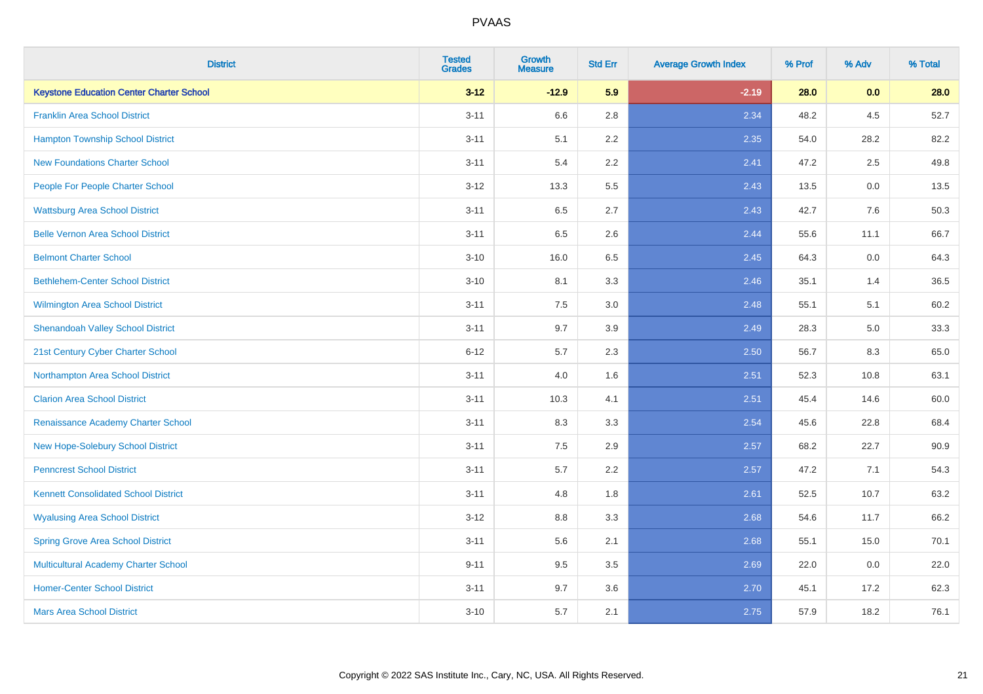| <b>District</b>                                 | <b>Tested</b><br><b>Grades</b> | <b>Growth</b><br><b>Measure</b> | <b>Std Err</b> | <b>Average Growth Index</b> | % Prof | % Adv | % Total |
|-------------------------------------------------|--------------------------------|---------------------------------|----------------|-----------------------------|--------|-------|---------|
| <b>Keystone Education Center Charter School</b> | $3 - 12$                       | $-12.9$                         | 5.9            | $-2.19$                     | 28.0   | 0.0   | 28.0    |
| <b>Franklin Area School District</b>            | $3 - 11$                       | 6.6                             | 2.8            | 2.34                        | 48.2   | 4.5   | 52.7    |
| <b>Hampton Township School District</b>         | $3 - 11$                       | 5.1                             | 2.2            | 2.35                        | 54.0   | 28.2  | 82.2    |
| <b>New Foundations Charter School</b>           | $3 - 11$                       | 5.4                             | 2.2            | 2.41                        | 47.2   | 2.5   | 49.8    |
| People For People Charter School                | $3 - 12$                       | 13.3                            | 5.5            | 2.43                        | 13.5   | 0.0   | 13.5    |
| <b>Wattsburg Area School District</b>           | $3 - 11$                       | 6.5                             | 2.7            | 2.43                        | 42.7   | 7.6   | 50.3    |
| <b>Belle Vernon Area School District</b>        | $3 - 11$                       | 6.5                             | 2.6            | 2.44                        | 55.6   | 11.1  | 66.7    |
| <b>Belmont Charter School</b>                   | $3 - 10$                       | 16.0                            | 6.5            | 2.45                        | 64.3   | 0.0   | 64.3    |
| <b>Bethlehem-Center School District</b>         | $3 - 10$                       | 8.1                             | 3.3            | 2.46                        | 35.1   | 1.4   | 36.5    |
| <b>Wilmington Area School District</b>          | $3 - 11$                       | 7.5                             | 3.0            | 2.48                        | 55.1   | 5.1   | 60.2    |
| <b>Shenandoah Valley School District</b>        | $3 - 11$                       | 9.7                             | 3.9            | 2.49                        | 28.3   | 5.0   | 33.3    |
| 21st Century Cyber Charter School               | $6 - 12$                       | 5.7                             | 2.3            | 2.50                        | 56.7   | 8.3   | 65.0    |
| Northampton Area School District                | $3 - 11$                       | 4.0                             | 1.6            | 2.51                        | 52.3   | 10.8  | 63.1    |
| <b>Clarion Area School District</b>             | $3 - 11$                       | 10.3                            | 4.1            | 2.51                        | 45.4   | 14.6  | 60.0    |
| Renaissance Academy Charter School              | $3 - 11$                       | 8.3                             | 3.3            | 2.54                        | 45.6   | 22.8  | 68.4    |
| New Hope-Solebury School District               | $3 - 11$                       | $7.5\,$                         | 2.9            | 2.57                        | 68.2   | 22.7  | 90.9    |
| <b>Penncrest School District</b>                | $3 - 11$                       | 5.7                             | 2.2            | 2.57                        | 47.2   | 7.1   | 54.3    |
| <b>Kennett Consolidated School District</b>     | $3 - 11$                       | 4.8                             | 1.8            | 2.61                        | 52.5   | 10.7  | 63.2    |
| <b>Wyalusing Area School District</b>           | $3 - 12$                       | $8.8\,$                         | 3.3            | 2.68                        | 54.6   | 11.7  | 66.2    |
| <b>Spring Grove Area School District</b>        | $3 - 11$                       | 5.6                             | 2.1            | 2.68                        | 55.1   | 15.0  | 70.1    |
| <b>Multicultural Academy Charter School</b>     | $9 - 11$                       | 9.5                             | 3.5            | 2.69                        | 22.0   | 0.0   | 22.0    |
| <b>Homer-Center School District</b>             | $3 - 11$                       | 9.7                             | 3.6            | 2.70                        | 45.1   | 17.2  | 62.3    |
| <b>Mars Area School District</b>                | $3 - 10$                       | 5.7                             | 2.1            | 2.75                        | 57.9   | 18.2  | 76.1    |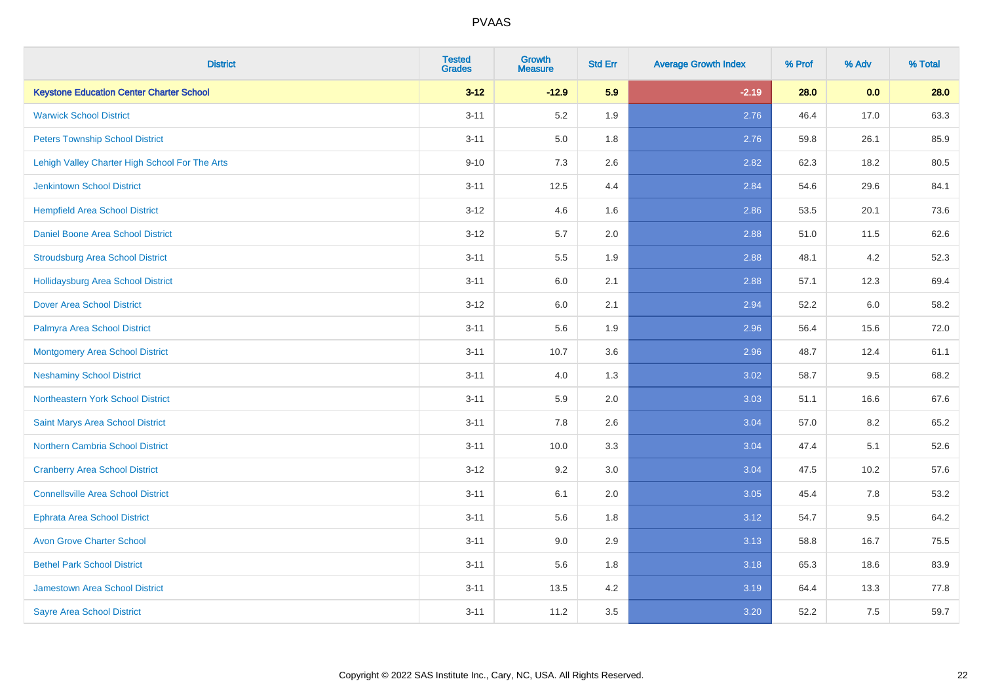| <b>District</b>                                 | <b>Tested</b><br><b>Grades</b> | <b>Growth</b><br><b>Measure</b> | <b>Std Err</b> | <b>Average Growth Index</b> | % Prof | % Adv   | % Total |
|-------------------------------------------------|--------------------------------|---------------------------------|----------------|-----------------------------|--------|---------|---------|
| <b>Keystone Education Center Charter School</b> | $3 - 12$                       | $-12.9$                         | 5.9            | $-2.19$                     | 28.0   | 0.0     | 28.0    |
| <b>Warwick School District</b>                  | $3 - 11$                       | 5.2                             | 1.9            | 2.76                        | 46.4   | 17.0    | 63.3    |
| <b>Peters Township School District</b>          | $3 - 11$                       | 5.0                             | 1.8            | 2.76                        | 59.8   | 26.1    | 85.9    |
| Lehigh Valley Charter High School For The Arts  | $9 - 10$                       | $7.3$                           | 2.6            | 2.82                        | 62.3   | 18.2    | 80.5    |
| <b>Jenkintown School District</b>               | $3 - 11$                       | 12.5                            | 4.4            | 2.84                        | 54.6   | 29.6    | 84.1    |
| <b>Hempfield Area School District</b>           | $3 - 12$                       | 4.6                             | 1.6            | 2.86                        | 53.5   | 20.1    | 73.6    |
| Daniel Boone Area School District               | $3 - 12$                       | 5.7                             | 2.0            | 2.88                        | 51.0   | 11.5    | 62.6    |
| <b>Stroudsburg Area School District</b>         | $3 - 11$                       | $5.5\,$                         | 1.9            | 2.88                        | 48.1   | 4.2     | 52.3    |
| <b>Hollidaysburg Area School District</b>       | $3 - 11$                       | 6.0                             | 2.1            | 2.88                        | 57.1   | 12.3    | 69.4    |
| <b>Dover Area School District</b>               | $3 - 12$                       | 6.0                             | 2.1            | 2.94                        | 52.2   | 6.0     | 58.2    |
| Palmyra Area School District                    | $3 - 11$                       | 5.6                             | 1.9            | 2.96                        | 56.4   | 15.6    | 72.0    |
| <b>Montgomery Area School District</b>          | $3 - 11$                       | 10.7                            | 3.6            | 2.96                        | 48.7   | 12.4    | 61.1    |
| <b>Neshaminy School District</b>                | $3 - 11$                       | $4.0\,$                         | 1.3            | 3.02                        | 58.7   | $9.5\,$ | 68.2    |
| <b>Northeastern York School District</b>        | $3 - 11$                       | 5.9                             | 2.0            | 3.03                        | 51.1   | 16.6    | 67.6    |
| Saint Marys Area School District                | $3 - 11$                       | 7.8                             | 2.6            | 3.04                        | 57.0   | 8.2     | 65.2    |
| <b>Northern Cambria School District</b>         | $3 - 11$                       | 10.0                            | 3.3            | 3.04                        | 47.4   | 5.1     | 52.6    |
| <b>Cranberry Area School District</b>           | $3 - 12$                       | 9.2                             | 3.0            | 3.04                        | 47.5   | 10.2    | 57.6    |
| <b>Connellsville Area School District</b>       | $3 - 11$                       | 6.1                             | 2.0            | 3.05                        | 45.4   | 7.8     | 53.2    |
| <b>Ephrata Area School District</b>             | $3 - 11$                       | 5.6                             | 1.8            | 3.12                        | 54.7   | 9.5     | 64.2    |
| <b>Avon Grove Charter School</b>                | $3 - 11$                       | 9.0                             | 2.9            | 3.13                        | 58.8   | 16.7    | 75.5    |
| <b>Bethel Park School District</b>              | $3 - 11$                       | 5.6                             | 1.8            | 3.18                        | 65.3   | 18.6    | 83.9    |
| Jamestown Area School District                  | $3 - 11$                       | 13.5                            | 4.2            | 3.19                        | 64.4   | 13.3    | 77.8    |
| <b>Sayre Area School District</b>               | $3 - 11$                       | 11.2                            | 3.5            | 3.20                        | 52.2   | 7.5     | 59.7    |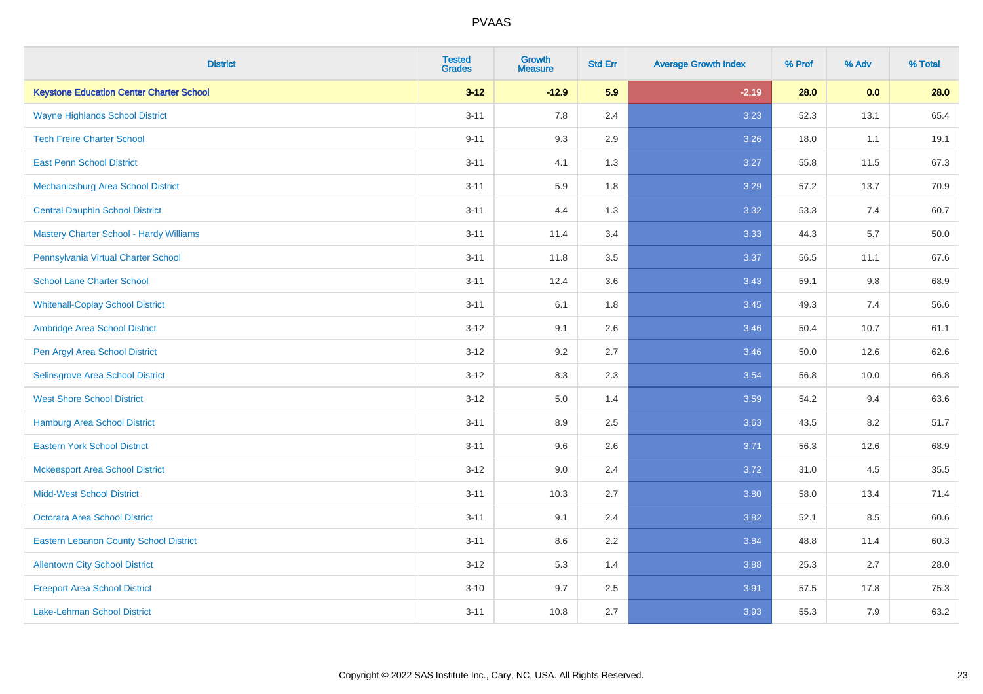| <b>District</b>                                 | <b>Tested</b><br><b>Grades</b> | <b>Growth</b><br><b>Measure</b> | <b>Std Err</b> | <b>Average Growth Index</b> | % Prof | % Adv | % Total |
|-------------------------------------------------|--------------------------------|---------------------------------|----------------|-----------------------------|--------|-------|---------|
| <b>Keystone Education Center Charter School</b> | $3 - 12$                       | $-12.9$                         | 5.9            | $-2.19$                     | 28.0   | 0.0   | 28.0    |
| <b>Wayne Highlands School District</b>          | $3 - 11$                       | 7.8                             | 2.4            | 3.23                        | 52.3   | 13.1  | 65.4    |
| <b>Tech Freire Charter School</b>               | $9 - 11$                       | 9.3                             | 2.9            | 3.26                        | 18.0   | 1.1   | 19.1    |
| <b>East Penn School District</b>                | $3 - 11$                       | 4.1                             | 1.3            | 3.27                        | 55.8   | 11.5  | 67.3    |
| Mechanicsburg Area School District              | $3 - 11$                       | 5.9                             | 1.8            | 3.29                        | 57.2   | 13.7  | 70.9    |
| <b>Central Dauphin School District</b>          | $3 - 11$                       | 4.4                             | 1.3            | 3.32                        | 53.3   | 7.4   | 60.7    |
| <b>Mastery Charter School - Hardy Williams</b>  | $3 - 11$                       | 11.4                            | 3.4            | 3.33                        | 44.3   | 5.7   | 50.0    |
| Pennsylvania Virtual Charter School             | $3 - 11$                       | 11.8                            | 3.5            | 3.37                        | 56.5   | 11.1  | 67.6    |
| <b>School Lane Charter School</b>               | $3 - 11$                       | 12.4                            | 3.6            | 3.43                        | 59.1   | 9.8   | 68.9    |
| <b>Whitehall-Coplay School District</b>         | $3 - 11$                       | 6.1                             | 1.8            | 3.45                        | 49.3   | 7.4   | 56.6    |
| Ambridge Area School District                   | $3 - 12$                       | 9.1                             | 2.6            | 3.46                        | 50.4   | 10.7  | 61.1    |
| Pen Argyl Area School District                  | $3 - 12$                       | 9.2                             | 2.7            | 3.46                        | 50.0   | 12.6  | 62.6    |
| Selinsgrove Area School District                | $3 - 12$                       | 8.3                             | 2.3            | 3.54                        | 56.8   | 10.0  | 66.8    |
| <b>West Shore School District</b>               | $3 - 12$                       | 5.0                             | 1.4            | 3.59                        | 54.2   | 9.4   | 63.6    |
| <b>Hamburg Area School District</b>             | $3 - 11$                       | 8.9                             | 2.5            | 3.63                        | 43.5   | 8.2   | 51.7    |
| <b>Eastern York School District</b>             | $3 - 11$                       | 9.6                             | 2.6            | 3.71                        | 56.3   | 12.6  | 68.9    |
| <b>Mckeesport Area School District</b>          | $3 - 12$                       | 9.0                             | 2.4            | 3.72                        | 31.0   | 4.5   | 35.5    |
| <b>Midd-West School District</b>                | $3 - 11$                       | 10.3                            | 2.7            | 3.80                        | 58.0   | 13.4  | 71.4    |
| <b>Octorara Area School District</b>            | $3 - 11$                       | 9.1                             | 2.4            | 3.82                        | 52.1   | 8.5   | 60.6    |
| <b>Eastern Lebanon County School District</b>   | $3 - 11$                       | 8.6                             | 2.2            | 3.84                        | 48.8   | 11.4  | 60.3    |
| <b>Allentown City School District</b>           | $3 - 12$                       | 5.3                             | 1.4            | 3.88                        | 25.3   | 2.7   | 28.0    |
| <b>Freeport Area School District</b>            | $3 - 10$                       | 9.7                             | 2.5            | 3.91                        | 57.5   | 17.8  | 75.3    |
| <b>Lake-Lehman School District</b>              | $3 - 11$                       | 10.8                            | 2.7            | 3.93                        | 55.3   | 7.9   | 63.2    |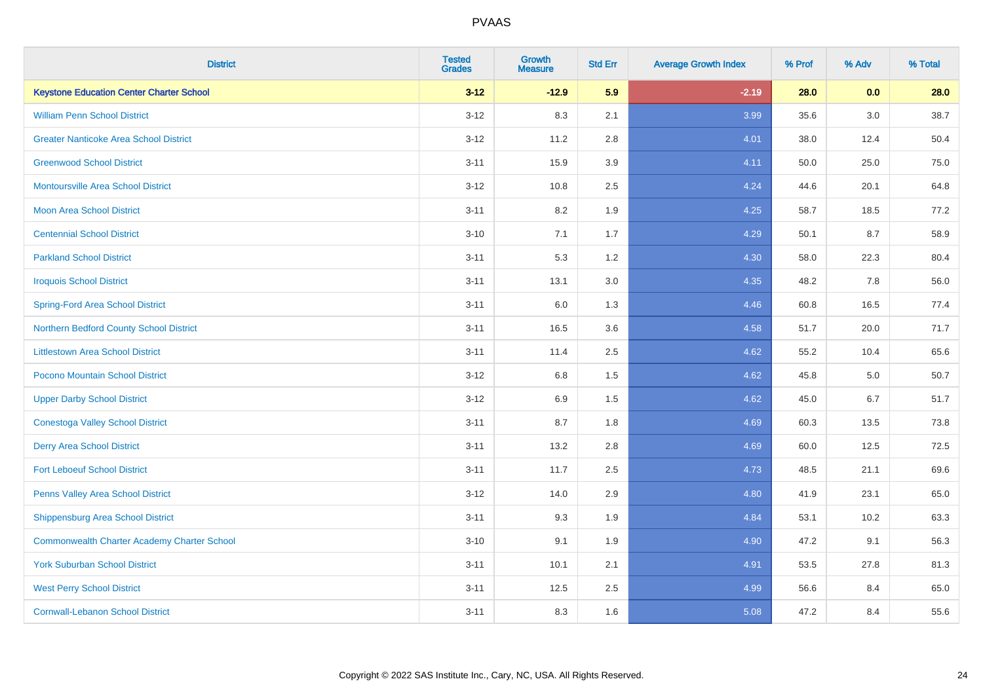| <b>District</b>                                    | <b>Tested</b><br><b>Grades</b> | <b>Growth</b><br><b>Measure</b> | <b>Std Err</b> | <b>Average Growth Index</b> | % Prof | % Adv   | % Total |
|----------------------------------------------------|--------------------------------|---------------------------------|----------------|-----------------------------|--------|---------|---------|
| <b>Keystone Education Center Charter School</b>    | $3 - 12$                       | $-12.9$                         | 5.9            | $-2.19$                     | 28.0   | 0.0     | 28.0    |
| <b>William Penn School District</b>                | $3 - 12$                       | 8.3                             | 2.1            | 3.99                        | 35.6   | $3.0\,$ | 38.7    |
| <b>Greater Nanticoke Area School District</b>      | $3 - 12$                       | 11.2                            | 2.8            | 4.01                        | 38.0   | 12.4    | 50.4    |
| <b>Greenwood School District</b>                   | $3 - 11$                       | 15.9                            | 3.9            | 4.11                        | 50.0   | 25.0    | 75.0    |
| <b>Montoursville Area School District</b>          | $3 - 12$                       | 10.8                            | 2.5            | 4.24                        | 44.6   | 20.1    | 64.8    |
| <b>Moon Area School District</b>                   | $3 - 11$                       | 8.2                             | 1.9            | 4.25                        | 58.7   | 18.5    | 77.2    |
| <b>Centennial School District</b>                  | $3 - 10$                       | 7.1                             | 1.7            | 4.29                        | 50.1   | 8.7     | 58.9    |
| <b>Parkland School District</b>                    | $3 - 11$                       | 5.3                             | 1.2            | 4.30                        | 58.0   | 22.3    | 80.4    |
| <b>Iroquois School District</b>                    | $3 - 11$                       | 13.1                            | 3.0            | 4.35                        | 48.2   | 7.8     | 56.0    |
| <b>Spring-Ford Area School District</b>            | $3 - 11$                       | 6.0                             | 1.3            | 4.46                        | 60.8   | 16.5    | 77.4    |
| Northern Bedford County School District            | $3 - 11$                       | 16.5                            | 3.6            | 4.58                        | 51.7   | 20.0    | 71.7    |
| <b>Littlestown Area School District</b>            | $3 - 11$                       | 11.4                            | 2.5            | 4.62                        | 55.2   | 10.4    | 65.6    |
| Pocono Mountain School District                    | $3 - 12$                       | $6.8\,$                         | 1.5            | 4.62                        | 45.8   | $5.0\,$ | 50.7    |
| <b>Upper Darby School District</b>                 | $3 - 12$                       | 6.9                             | 1.5            | 4.62                        | 45.0   | 6.7     | 51.7    |
| <b>Conestoga Valley School District</b>            | $3 - 11$                       | 8.7                             | 1.8            | 4.69                        | 60.3   | 13.5    | 73.8    |
| <b>Derry Area School District</b>                  | $3 - 11$                       | 13.2                            | 2.8            | 4.69                        | 60.0   | 12.5    | 72.5    |
| <b>Fort Leboeuf School District</b>                | $3 - 11$                       | 11.7                            | 2.5            | 4.73                        | 48.5   | 21.1    | 69.6    |
| Penns Valley Area School District                  | $3 - 12$                       | 14.0                            | 2.9            | 4.80                        | 41.9   | 23.1    | 65.0    |
| Shippensburg Area School District                  | $3 - 11$                       | 9.3                             | 1.9            | 4.84                        | 53.1   | 10.2    | 63.3    |
| <b>Commonwealth Charter Academy Charter School</b> | $3 - 10$                       | 9.1                             | 1.9            | 4.90                        | 47.2   | 9.1     | 56.3    |
| <b>York Suburban School District</b>               | $3 - 11$                       | 10.1                            | 2.1            | 4.91                        | 53.5   | 27.8    | 81.3    |
| <b>West Perry School District</b>                  | $3 - 11$                       | 12.5                            | 2.5            | 4.99                        | 56.6   | 8.4     | 65.0    |
| <b>Cornwall-Lebanon School District</b>            | $3 - 11$                       | 8.3                             | 1.6            | 5.08                        | 47.2   | 8.4     | 55.6    |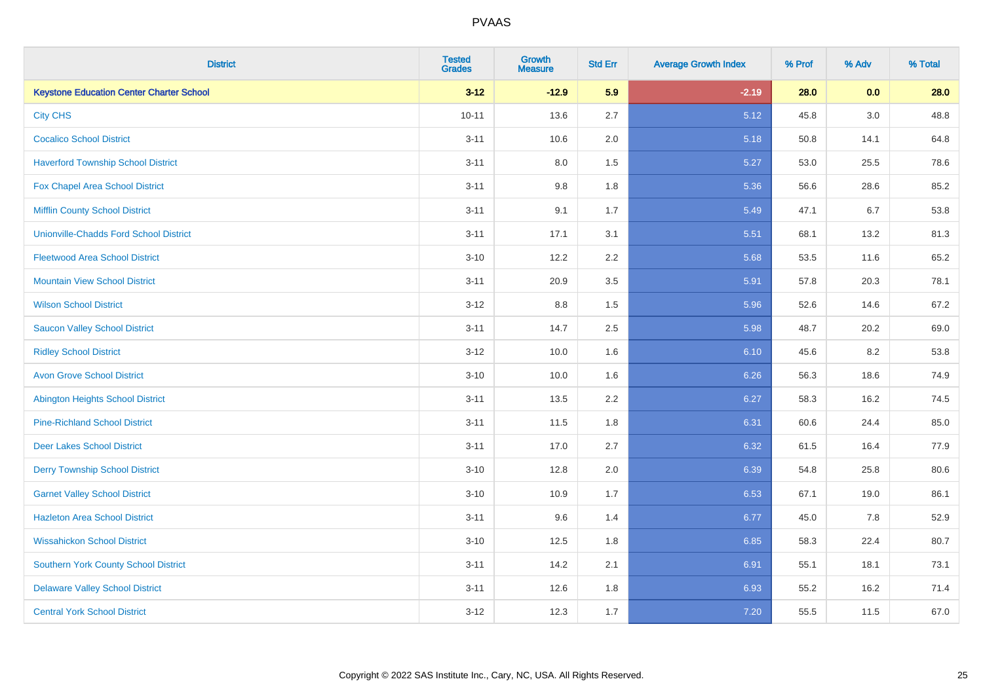| <b>District</b>                                 | <b>Tested</b><br><b>Grades</b> | <b>Growth</b><br><b>Measure</b> | <b>Std Err</b> | <b>Average Growth Index</b> | % Prof | % Adv   | % Total |
|-------------------------------------------------|--------------------------------|---------------------------------|----------------|-----------------------------|--------|---------|---------|
| <b>Keystone Education Center Charter School</b> | $3 - 12$                       | $-12.9$                         | 5.9            | $-2.19$                     | 28.0   | 0.0     | 28.0    |
| <b>City CHS</b>                                 | $10 - 11$                      | 13.6                            | 2.7            | 5.12                        | 45.8   | $3.0\,$ | 48.8    |
| <b>Cocalico School District</b>                 | $3 - 11$                       | 10.6                            | 2.0            | 5.18                        | 50.8   | 14.1    | 64.8    |
| <b>Haverford Township School District</b>       | $3 - 11$                       | $8.0\,$                         | 1.5            | 5.27                        | 53.0   | 25.5    | 78.6    |
| Fox Chapel Area School District                 | $3 - 11$                       | 9.8                             | 1.8            | 5.36                        | 56.6   | 28.6    | 85.2    |
| <b>Mifflin County School District</b>           | $3 - 11$                       | 9.1                             | 1.7            | 5.49                        | 47.1   | 6.7     | 53.8    |
| <b>Unionville-Chadds Ford School District</b>   | $3 - 11$                       | 17.1                            | 3.1            | 5.51                        | 68.1   | 13.2    | 81.3    |
| <b>Fleetwood Area School District</b>           | $3 - 10$                       | 12.2                            | 2.2            | 5.68                        | 53.5   | 11.6    | 65.2    |
| <b>Mountain View School District</b>            | $3 - 11$                       | 20.9                            | 3.5            | 5.91                        | 57.8   | 20.3    | 78.1    |
| <b>Wilson School District</b>                   | $3 - 12$                       | 8.8                             | 1.5            | 5.96                        | 52.6   | 14.6    | 67.2    |
| <b>Saucon Valley School District</b>            | $3 - 11$                       | 14.7                            | 2.5            | 5.98                        | 48.7   | 20.2    | 69.0    |
| <b>Ridley School District</b>                   | $3 - 12$                       | 10.0                            | 1.6            | 6.10                        | 45.6   | 8.2     | 53.8    |
| <b>Avon Grove School District</b>               | $3 - 10$                       | 10.0                            | 1.6            | 6.26                        | 56.3   | 18.6    | 74.9    |
| <b>Abington Heights School District</b>         | $3 - 11$                       | 13.5                            | 2.2            | 6.27                        | 58.3   | 16.2    | 74.5    |
| <b>Pine-Richland School District</b>            | $3 - 11$                       | 11.5                            | 1.8            | 6.31                        | 60.6   | 24.4    | 85.0    |
| <b>Deer Lakes School District</b>               | $3 - 11$                       | 17.0                            | 2.7            | 6.32                        | 61.5   | 16.4    | 77.9    |
| <b>Derry Township School District</b>           | $3 - 10$                       | 12.8                            | 2.0            | 6.39                        | 54.8   | 25.8    | 80.6    |
| <b>Garnet Valley School District</b>            | $3 - 10$                       | 10.9                            | 1.7            | 6.53                        | 67.1   | 19.0    | 86.1    |
| <b>Hazleton Area School District</b>            | $3 - 11$                       | 9.6                             | 1.4            | 6.77                        | 45.0   | 7.8     | 52.9    |
| <b>Wissahickon School District</b>              | $3 - 10$                       | 12.5                            | 1.8            | 6.85                        | 58.3   | 22.4    | 80.7    |
| <b>Southern York County School District</b>     | $3 - 11$                       | 14.2                            | 2.1            | 6.91                        | 55.1   | 18.1    | 73.1    |
| <b>Delaware Valley School District</b>          | $3 - 11$                       | 12.6                            | 1.8            | 6.93                        | 55.2   | 16.2    | 71.4    |
| <b>Central York School District</b>             | $3 - 12$                       | 12.3                            | 1.7            | 7.20                        | 55.5   | 11.5    | 67.0    |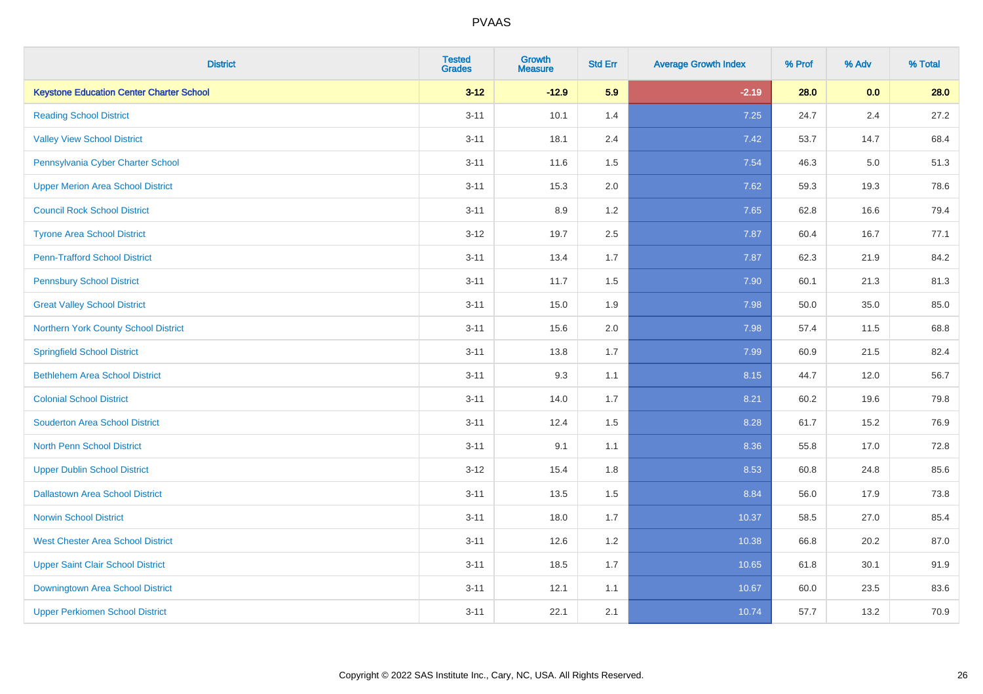| <b>District</b>                                 | <b>Tested</b><br><b>Grades</b> | <b>Growth</b><br><b>Measure</b> | <b>Std Err</b> | <b>Average Growth Index</b> | % Prof | % Adv | % Total |
|-------------------------------------------------|--------------------------------|---------------------------------|----------------|-----------------------------|--------|-------|---------|
| <b>Keystone Education Center Charter School</b> | $3 - 12$                       | $-12.9$                         | 5.9            | $-2.19$                     | 28.0   | 0.0   | 28.0    |
| <b>Reading School District</b>                  | $3 - 11$                       | 10.1                            | 1.4            | 7.25                        | 24.7   | 2.4   | 27.2    |
| <b>Valley View School District</b>              | $3 - 11$                       | 18.1                            | 2.4            | 7.42                        | 53.7   | 14.7  | 68.4    |
| Pennsylvania Cyber Charter School               | $3 - 11$                       | 11.6                            | 1.5            | 7.54                        | 46.3   | 5.0   | 51.3    |
| <b>Upper Merion Area School District</b>        | $3 - 11$                       | 15.3                            | 2.0            | 7.62                        | 59.3   | 19.3  | 78.6    |
| <b>Council Rock School District</b>             | $3 - 11$                       | 8.9                             | 1.2            | 7.65                        | 62.8   | 16.6  | 79.4    |
| <b>Tyrone Area School District</b>              | $3 - 12$                       | 19.7                            | 2.5            | 7.87                        | 60.4   | 16.7  | 77.1    |
| <b>Penn-Trafford School District</b>            | $3 - 11$                       | 13.4                            | 1.7            | 7.87                        | 62.3   | 21.9  | 84.2    |
| <b>Pennsbury School District</b>                | $3 - 11$                       | 11.7                            | 1.5            | 7.90                        | 60.1   | 21.3  | 81.3    |
| <b>Great Valley School District</b>             | $3 - 11$                       | 15.0                            | 1.9            | 7.98                        | 50.0   | 35.0  | 85.0    |
| Northern York County School District            | $3 - 11$                       | 15.6                            | 2.0            | 7.98                        | 57.4   | 11.5  | 68.8    |
| <b>Springfield School District</b>              | $3 - 11$                       | 13.8                            | 1.7            | 7.99                        | 60.9   | 21.5  | 82.4    |
| <b>Bethlehem Area School District</b>           | $3 - 11$                       | 9.3                             | 1.1            | 8.15                        | 44.7   | 12.0  | 56.7    |
| <b>Colonial School District</b>                 | $3 - 11$                       | 14.0                            | 1.7            | 8.21                        | 60.2   | 19.6  | 79.8    |
| <b>Souderton Area School District</b>           | $3 - 11$                       | 12.4                            | 1.5            | 8.28                        | 61.7   | 15.2  | 76.9    |
| <b>North Penn School District</b>               | $3 - 11$                       | 9.1                             | 1.1            | 8.36                        | 55.8   | 17.0  | 72.8    |
| <b>Upper Dublin School District</b>             | $3 - 12$                       | 15.4                            | 1.8            | 8.53                        | 60.8   | 24.8  | 85.6    |
| <b>Dallastown Area School District</b>          | $3 - 11$                       | 13.5                            | 1.5            | 8.84                        | 56.0   | 17.9  | 73.8    |
| <b>Norwin School District</b>                   | $3 - 11$                       | 18.0                            | 1.7            | 10.37                       | 58.5   | 27.0  | 85.4    |
| <b>West Chester Area School District</b>        | $3 - 11$                       | 12.6                            | 1.2            | 10.38                       | 66.8   | 20.2  | 87.0    |
| <b>Upper Saint Clair School District</b>        | $3 - 11$                       | 18.5                            | 1.7            | 10.65                       | 61.8   | 30.1  | 91.9    |
| Downingtown Area School District                | $3 - 11$                       | 12.1                            | 1.1            | 10.67                       | 60.0   | 23.5  | 83.6    |
| <b>Upper Perkiomen School District</b>          | $3 - 11$                       | 22.1                            | 2.1            | 10.74                       | 57.7   | 13.2  | 70.9    |